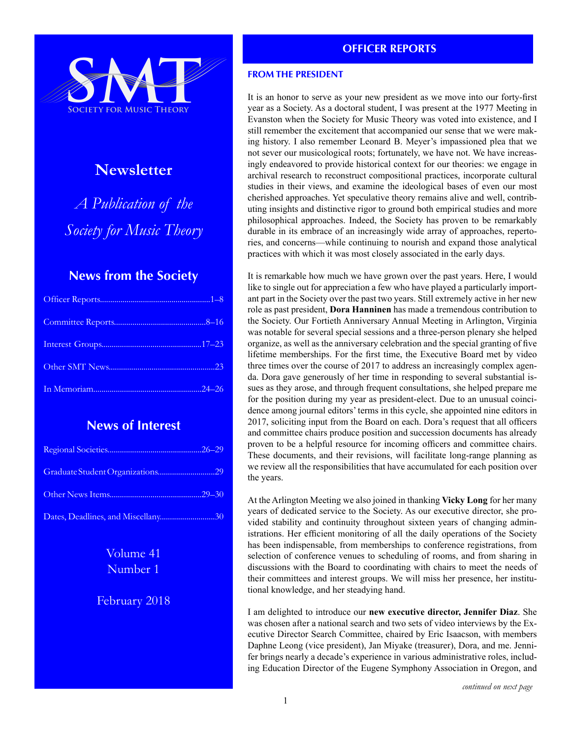

# **Newsletter**

*A Publication of the Society for Music Theory*

# **News from the Society**

# **News of Interest**

| Dates, Deadlines, and Miscellany30 |  |
|------------------------------------|--|

# Volume 41 Number 1

# February 2018

# **OFFICER REPORTS**

# **FROM THE PRESIDENT**

It is an honor to serve as your new president as we move into our forty-first year as a Society. As a doctoral student, I was present at the 1977 Meeting in Evanston when the Society for Music Theory was voted into existence, and I still remember the excitement that accompanied our sense that we were making history. I also remember Leonard B. Meyer's impassioned plea that we not sever our musicological roots; fortunately, we have not. We have increasingly endeavored to provide historical context for our theories: we engage in archival research to reconstruct compositional practices, incorporate cultural studies in their views, and examine the ideological bases of even our most cherished approaches. Yet speculative theory remains alive and well, contributing insights and distinctive rigor to ground both empirical studies and more philosophical approaches. Indeed, the Society has proven to be remarkably durable in its embrace of an increasingly wide array of approaches, repertories, and concerns—while continuing to nourish and expand those analytical practices with which it was most closely associated in the early days.

It is remarkable how much we have grown over the past years. Here, I would like to single out for appreciation a few who have played a particularly important part in the Society over the past two years. Still extremely active in her new role as past president, **Dora Hanninen** has made a tremendous contribution to the Society. Our Fortieth Anniversary Annual Meeting in Arlington, Virginia was notable for several special sessions and a three-person plenary she helped organize, as well as the anniversary celebration and the special granting of five lifetime memberships. For the first time, the Executive Board met by video three times over the course of 2017 to address an increasingly complex agenda. Dora gave generously of her time in responding to several substantial issues as they arose, and through frequent consultations, she helped prepare me for the position during my year as president-elect. Due to an unusual coincidence among journal editors' terms in this cycle, she appointed nine editors in 2017, soliciting input from the Board on each. Dora's request that all officers and committee chairs produce position and succession documents has already proven to be a helpful resource for incoming officers and committee chairs. These documents, and their revisions, will facilitate long-range planning as we review all the responsibilities that have accumulated for each position over the years.

At the Arlington Meeting we also joined in thanking **Vicky Long** for her many years of dedicated service to the Society. As our executive director, she provided stability and continuity throughout sixteen years of changing administrations. Her efficient monitoring of all the daily operations of the Society has been indispensable, from memberships to conference registrations, from selection of conference venues to scheduling of rooms, and from sharing in discussions with the Board to coordinating with chairs to meet the needs of their committees and interest groups. We will miss her presence, her institutional knowledge, and her steadying hand.

I am delighted to introduce our **new executive director, Jennifer Diaz**. She was chosen after a national search and two sets of video interviews by the Executive Director Search Committee, chaired by Eric Isaacson, with members Daphne Leong (vice president), Jan Miyake (treasurer), Dora, and me. Jennifer brings nearly a decade's experience in various administrative roles, including Education Director of the Eugene Symphony Association in Oregon, and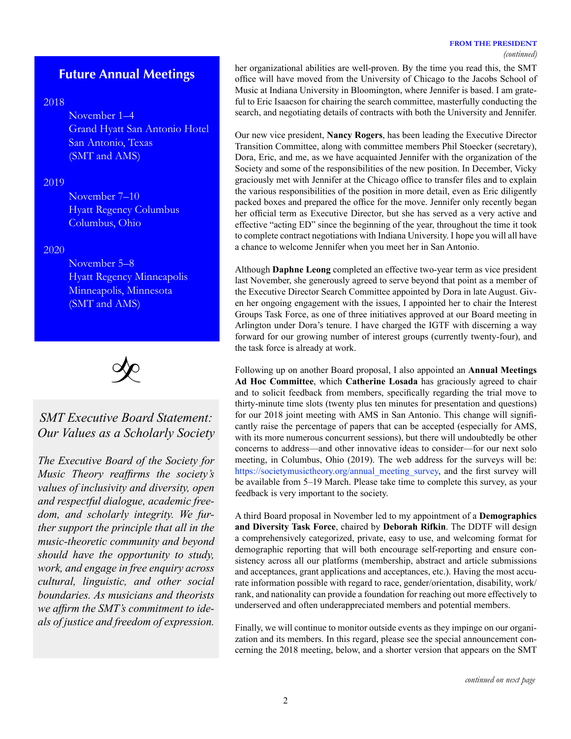#### **FROM THE PRESIDENT**

# **Future Annual Meetings**

# 2018

November 1–4 Grand Hyatt San Antonio Hotel San Antonio, Texas (SMT and AMS)

# 2019

November 7–10 Hyatt Regency Columbus Columbus, Ohio

# 2020

November 5–8 Hyatt Regency Minneapolis Minneapolis, Minnesota (SMT and AMS)



# *SMT Executive Board Statement: Our Values as a Scholarly Society*

*The Executive Board of the Society for Music Theory reaffirms the society's values of inclusivity and diversity, open and respectful dialogue, academic freedom, and scholarly integrity. We further support the principle that all in the music-theoretic community and beyond should have the opportunity to study, work, and engage in free enquiry across cultural, linguistic, and other social boundaries. As musicians and theorists we affirm the SMT's commitment to ideals of justice and freedom of expression.*

her organizational abilities are well-proven. By the time you read this, the SMT office will have moved from the University of Chicago to the Jacobs School of Music at Indiana University in Bloomington, where Jennifer is based. I am grateful to Eric Isaacson for chairing the search committee, masterfully conducting the search, and negotiating details of contracts with both the University and Jennifer.

Our new vice president, **Nancy Rogers**, has been leading the Executive Director Transition Committee, along with committee members Phil Stoecker (secretary), Dora, Eric, and me, as we have acquainted Jennifer with the organization of the Society and some of the responsibilities of the new position. In December, Vicky graciously met with Jennifer at the Chicago office to transfer files and to explain the various responsibilities of the position in more detail, even as Eric diligently packed boxes and prepared the office for the move. Jennifer only recently began her official term as Executive Director, but she has served as a very active and effective "acting ED" since the beginning of the year, throughout the time it took to complete contract negotiations with Indiana University. I hope you will all have a chance to welcome Jennifer when you meet her in San Antonio.

Although **Daphne Leong** completed an effective two-year term as vice president last November, she generously agreed to serve beyond that point as a member of the Executive Director Search Committee appointed by Dora in late August. Given her ongoing engagement with the issues, I appointed her to chair the Interest Groups Task Force, as one of three initiatives approved at our Board meeting in Arlington under Dora's tenure. I have charged the IGTF with discerning a way forward for our growing number of interest groups (currently twenty-four), and the task force is already at work.

Following up on another Board proposal, I also appointed an **Annual Meetings Ad Hoc Committee**, which **Catherine Losada** has graciously agreed to chair and to solicit feedback from members, specifically regarding the trial move to thirty-minute time slots (twenty plus ten minutes for presentation and questions) for our 2018 joint meeting with AMS in San Antonio. This change will significantly raise the percentage of papers that can be accepted (especially for AMS, with its more numerous concurrent sessions), but there will undoubtedly be other concerns to address—and other innovative ideas to consider—for our next solo meeting, in Columbus, Ohio (2019). The web address for the surveys will be: https://[societymusictheory.org/annual\\_meeting\\_survey](https://societymusictheory.org/annual_meeting_survey), and the first survey will be available from 5–19 March. Please take time to complete this survey, as your feedback is very important to the society.

A third Board proposal in November led to my appointment of a **Demographics and Diversity Task Force**, chaired by **Deborah Rifkin**. The DDTF will design a comprehensively categorized, private, easy to use, and welcoming format for demographic reporting that will both encourage self-reporting and ensure consistency across all our platforms (membership, abstract and article submissions and acceptances, grant applications and acceptances, etc.). Having the most accurate information possible with regard to race, gender/orientation, disability, work/ rank, and nationality can provide a foundation for reaching out more effectively to underserved and often underappreciated members and potential members.

Finally, we will continue to monitor outside events as they impinge on our organization and its members. In this regard, please see the special announcement concerning the 2018 meeting, below, and a shorter version that appears on the SMT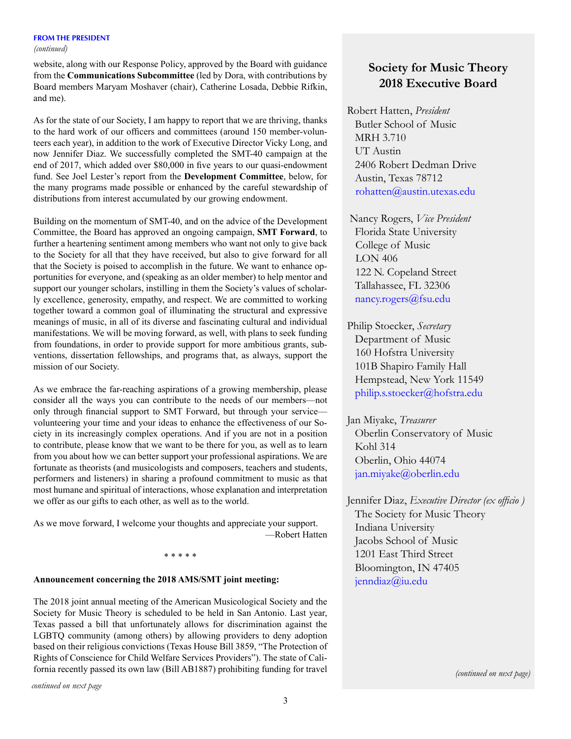#### **FROM THE PRESIDENT**

#### *(continued)*

website, along with our Response Policy, approved by the Board with guidance from the **Communications Subcommittee** (led by Dora, with contributions by Board members Maryam Moshaver (chair), Catherine Losada, Debbie Rifkin, and me).

As for the state of our Society, I am happy to report that we are thriving, thanks to the hard work of our officers and committees (around 150 member-volunteers each year), in addition to the work of Executive Director Vicky Long, and now Jennifer Diaz. We successfully completed the SMT-40 campaign at the end of 2017, which added over \$80,000 in five years to our quasi-endowment fund. See Joel Lester's report from the **Development Committee**, below, for the many programs made possible or enhanced by the careful stewardship of distributions from interest accumulated by our growing endowment.

Building on the momentum of SMT-40, and on the advice of the Development Committee, the Board has approved an ongoing campaign, **SMT Forward**, to further a heartening sentiment among members who want not only to give back to the Society for all that they have received, but also to give forward for all that the Society is poised to accomplish in the future. We want to enhance opportunities for everyone, and (speaking as an older member) to help mentor and support our younger scholars, instilling in them the Society's values of scholarly excellence, generosity, empathy, and respect. We are committed to working together toward a common goal of illuminating the structural and expressive meanings of music, in all of its diverse and fascinating cultural and individual manifestations. We will be moving forward, as well, with plans to seek funding from foundations, in order to provide support for more ambitious grants, subventions, dissertation fellowships, and programs that, as always, support the mission of our Society.

As we embrace the far-reaching aspirations of a growing membership, please consider all the ways you can contribute to the needs of our members—not only through financial support to SMT Forward, but through your service volunteering your time and your ideas to enhance the effectiveness of our Society in its increasingly complex operations. And if you are not in a position to contribute, please know that we want to be there for you, as well as to learn from you about how we can better support your professional aspirations. We are fortunate as theorists (and musicologists and composers, teachers and students, performers and listeners) in sharing a profound commitment to music as that most humane and spiritual of interactions, whose explanation and interpretation we offer as our gifts to each other, as well as to the world.

As we move forward, I welcome your thoughts and appreciate your support. —Robert Hatten

#### \* \* \* \* \*

#### **Announcement concerning the 2018 AMS/SMT joint meeting:**

The 2018 joint annual meeting of the American Musicological Society and the Society for Music Theory is scheduled to be held in San Antonio. Last year, Texas passed a bill that unfortunately allows for discrimination against the LGBTQ community (among others) by allowing providers to deny adoption based on their religious convictions (Texas House Bill 3859, "The Protection of Rights of Conscience for Child Welfare Services Providers"). The state of California recently passed its own law (Bill AB1887) prohibiting funding for travel

# **Society for Music Theory 2018 Executive Board**

Robert Hatten, *President* Butler School of Music MRH 3.710 UT Austin 2406 Robert Dedman Drive Austin, Texas 78712 [rohatten@austin.utexas.edu](mailto:rohatten%40austin.utexas.edu?subject=)

 Nancy Rogers, *Vice President* Florida State University College of Music LON 406 122 N. Copeland Street Tallahassee, FL 32306 [nancy.rogers@fsu.edu](mailto:nancy.rogers%40fsu.edu?subject=)

Philip Stoecker, *Secretary* Department of Music 160 Hofstra University 101B Shapiro Family Hall Hempstead, New York 11549 [philip.s.stoecker@hofstra.edu](mailto:philip.s.stoecker%40hofstra.edu?subject=)

Jan Miyake, *Treasurer* Oberlin Conservatory of Music Kohl 314 Oberlin, Ohio 44074 j[an.miyake@oberlin.edu](mailto:Jan.Miyake%40oberlin.edu?subject=)

Jennifer Diaz, *Executive Director (ex officio )* The Society for Music Theory Indiana University Jacobs School of Music 1201 East Third Street Bloomington, IN 47405 [jenndiaz@iu.edu](mailto:jenndiaz%40iu.edu?subject=)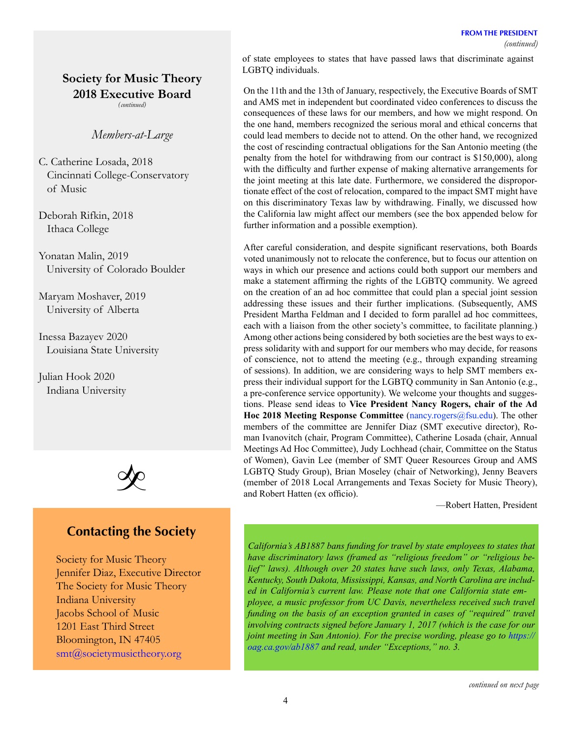# **Society for Music Theory 2018 Executive Board**

*(continued)*

# *Members-at-Large*

C. Catherine Losada, 2018 Cincinnati College-Conservatory of Music

Deborah Rifkin, 2018 Ithaca College

Yonatan Malin, 2019 University of Colorado Boulder

Maryam Moshaver, 2019 University of Alberta

Inessa Bazayev 2020 Louisiana State University

Julian Hook 2020 Indiana University



# **Contacting the Society**

Society for Music Theory Jennifer Diaz, Executive Director The Society for Music Theory Indiana University Jacobs School of Music 1201 East Third Street Bloomington, IN 47405 [smt@societymusictheory.org](mailto:smt%40societymusictheory.org?subject=)

of state employees to states that have passed laws that discriminate against LGBTQ individuals.

On the 11th and the 13th of January, respectively, the Executive Boards of SMT and AMS met in independent but coordinated video conferences to discuss the consequences of these laws for our members, and how we might respond. On the one hand, members recognized the serious moral and ethical concerns that could lead members to decide not to attend. On the other hand, we recognized the cost of rescinding contractual obligations for the San Antonio meeting (the penalty from the hotel for withdrawing from our contract is \$150,000), along with the difficulty and further expense of making alternative arrangements for the joint meeting at this late date. Furthermore, we considered the disproportionate effect of the cost of relocation, compared to the impact SMT might have on this discriminatory Texas law by withdrawing. Finally, we discussed how the California law might affect our members (see the box appended below for further information and a possible exemption).

After careful consideration, and despite significant reservations, both Boards voted unanimously not to relocate the conference, but to focus our attention on ways in which our presence and actions could both support our members and make a statement affirming the rights of the LGBTQ community. We agreed on the creation of an ad hoc committee that could plan a special joint session addressing these issues and their further implications. (Subsequently, AMS President Martha Feldman and I decided to form parallel ad hoc committees, each with a liaison from the other society's committee, to facilitate planning.) Among other actions being considered by both societies are the best ways to express solidarity with and support for our members who may decide, for reasons of conscience, not to attend the meeting (e.g., through expanding streaming of sessions). In addition, we are considering ways to help SMT members express their individual support for the LGBTQ community in San Antonio (e.g., a pre-conference service opportunity). We welcome your thoughts and suggestions. Please send ideas to **Vice President Nancy Rogers, chair of the Ad Hoc 2018 Meeting Response Committee** [\(nancy.rogers@fsu.edu\)](mailto:nancy.rogers@fsu.edu). The other members of the committee are Jennifer Diaz (SMT executive director), Roman Ivanovitch (chair, Program Committee), Catherine Losada (chair, Annual Meetings Ad Hoc Committee), Judy Lochhead (chair, Committee on the Status of Women), Gavin Lee (member of SMT Queer Resources Group and AMS LGBTQ Study Group), Brian Moseley (chair of Networking), Jenny Beavers (member of 2018 Local Arrangements and Texas Society for Music Theory), and Robert Hatten (ex officio).

—Robert Hatten, President

*California's AB1887 bans funding for travel by state employees to states that have discriminatory laws (framed as "religious freedom" or "religious belief" laws). Although over 20 states have such laws, only Texas, Alabama, Kentucky, South Dakota, Mississippi, Kansas, and North Carolina are included in California's current law. Please note that one California state employee, a music professor from UC Davis, nevertheless received such travel funding on the basis of an exception granted in cases of "required" travel involving contracts signed before January 1, 2017 (which is the case for our joint meeting in San Antonio). For the precise wording, please go to [https://](https://oag.ca.gov/ab1887) [oag.ca.gov/ab1887](https://oag.ca.gov/ab1887) and read, under "Exceptions," no. 3.*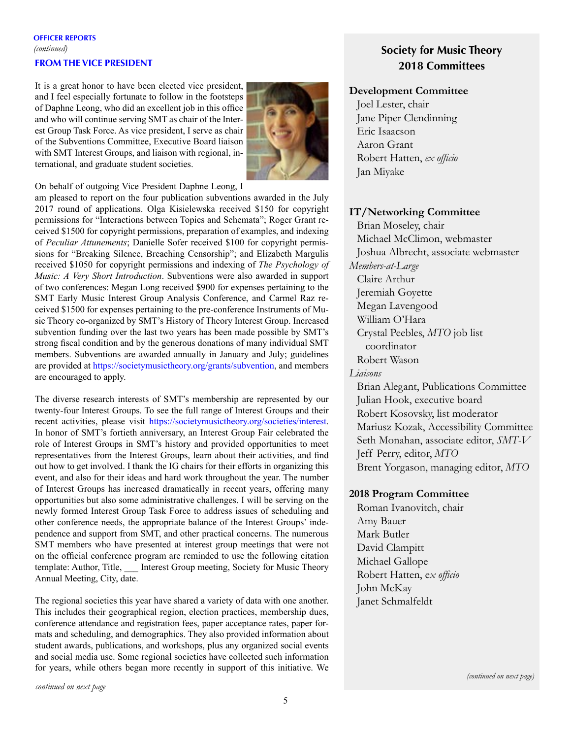# **OFFICER REPORTS** *(continued)* **FROM THE VICE PRESIDENT**

It is a great honor to have been elected vice president, and I feel especially fortunate to follow in the footsteps of Daphne Leong, who did an excellent job in this office and who will continue serving SMT as chair of the Interest Group Task Force. As vice president, I serve as chair of the Subventions Committee, Executive Board liaison with SMT Interest Groups, and liaison with regional, international, and graduate student societies.



On behalf of outgoing Vice President Daphne Leong, I

am pleased to report on the four publication subventions awarded in the July 2017 round of applications. Olga Kisielewska received \$150 for copyright permissions for "Interactions between Topics and Schemata"; Roger Grant received \$1500 for copyright permissions, preparation of examples, and indexing of *Peculiar Attunements*; Danielle Sofer received \$100 for copyright permissions for "Breaking Silence, Breaching Censorship"; and Elizabeth Margulis received \$1050 for copyright permissions and indexing of *The Psychology of Music: A Very Short Introduction*. Subventions were also awarded in support of two conferences: Megan Long received \$900 for expenses pertaining to the SMT Early Music Interest Group Analysis Conference, and Carmel Raz received \$1500 for expenses pertaining to the pre-conference Instruments of Music Theory co-organized by SMT's History of Theory Interest Group. Increased subvention funding over the last two years has been made possible by SMT's strong fiscal condition and by the generous donations of many individual SMT members. Subventions are awarded annually in January and July; guidelines are provided at <https://societymusictheory.org/grants/subvention>, and members are encouraged to apply.

The diverse research interests of SMT's membership are represented by our twenty-four Interest Groups. To see the full range of Interest Groups and their recent activities, please visit <https://societymusictheory.org/societies/interest>. In honor of SMT's fortieth anniversary, an Interest Group Fair celebrated the role of Interest Groups in SMT's history and provided opportunities to meet representatives from the Interest Groups, learn about their activities, and find out how to get involved. I thank the IG chairs for their efforts in organizing this event, and also for their ideas and hard work throughout the year. The number of Interest Groups has increased dramatically in recent years, offering many opportunities but also some administrative challenges. I will be serving on the newly formed Interest Group Task Force to address issues of scheduling and other conference needs, the appropriate balance of the Interest Groups' independence and support from SMT, and other practical concerns. The numerous SMT members who have presented at interest group meetings that were not on the official conference program are reminded to use the following citation template: Author, Title, Interest Group meeting, Society for Music Theory Annual Meeting, City, date.

The regional societies this year have shared a variety of data with one another. This includes their geographical region, election practices, membership dues, conference attendance and registration fees, paper acceptance rates, paper formats and scheduling, and demographics. They also provided information about student awards, publications, and workshops, plus any organized social events and social media use. Some regional societies have collected such information for years, while others began more recently in support of this initiative. We

# **Society for Music Theory 2018 Committees**

# **Development Committee**

Joel Lester, chair Jane Piper Clendinning Eric Isaacson Aaron Grant Robert Hatten, *ex officio* Jan Miyake

# **IT/Networking Committee**

Brian Moseley, chair Michael McClimon, webmaster Joshua Albrecht, associate webmaster *Members-at-Large* Claire Arthur Jeremiah Goyette Megan Lavengood William O'Hara Crystal Peebles, *MTO* job list coordinator Robert Wason *Liaisons* Brian Alegant, Publications Committee Julian Hook, executive board Robert Kosovsky, list moderator Mariusz Kozak, Accessibility Committee Seth Monahan, associate editor, *SMT-V* Jeff Perry, editor, *MTO* Brent Yorgason, managing editor, *MTO*

# **2018 Program Committee**

Roman Ivanovitch, chair Amy Bauer Mark Butler David Clampitt Michael Gallope Robert Hatten, e*x officio* John McKay Janet Schmalfeldt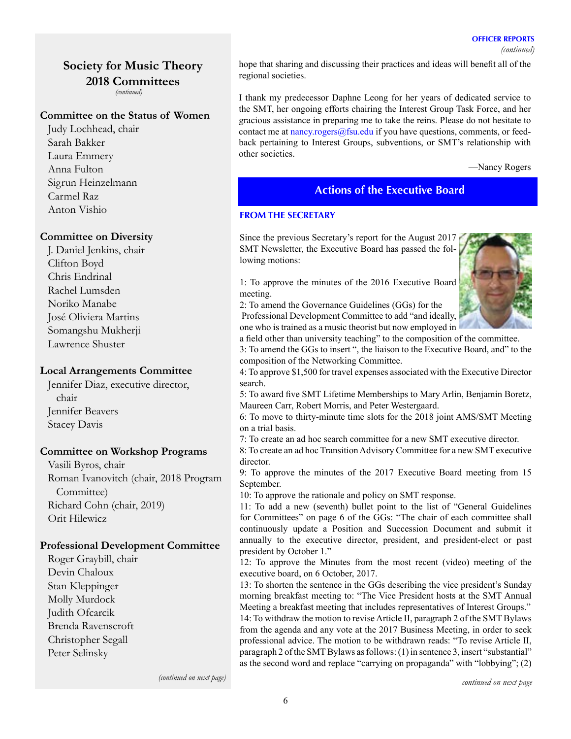#### **OFFICER REPORTS**

# **Society for Music Theory 2018 Committees**

*(continued)*

# **Committee on the Status of Women**

Judy Lochhead, chair Sarah Bakker Laura Emmery Anna Fulton Sigrun Heinzelmann Carmel Raz Anton Vishio

# **Committee on Diversity**

J. Daniel Jenkins, chair Clifton Boyd Chris Endrinal Rachel Lumsden Noriko Manabe José Oliviera Martins Somangshu Mukherji Lawrence Shuster

## **Local Arrangements Committee**

Jennifer Diaz, executive director, chair Jennifer Beavers Stacey Davis

# **Committee on Workshop Programs**

Vasili Byros, chair Roman Ivanovitch (chair, 2018 Program Committee) Richard Cohn (chair, 2019) Orit Hilewicz

# **Professional Development Committee**

Roger Graybill, chair Devin Chaloux Stan Kleppinger Molly Murdock Judith Ofcarcik Brenda Ravenscroft Christopher Segall Peter Selinsky

hope that sharing and discussing their practices and ideas will benefit all of the regional societies.

I thank my predecessor Daphne Leong for her years of dedicated service to the SMT, her ongoing efforts chairing the Interest Group Task Force, and her gracious assistance in preparing me to take the reins. Please do not hesitate to contact me at  $n\frac{\text{an}y \cdot \text{rogers}}{a\text{fsu.edu}}$  if you have questions, comments, or feedback pertaining to Interest Groups, subventions, or SMT's relationship with other societies.

—Nancy Rogers

# **Actions of the Executive Board**

## **FROM THE SECRETARY**

Since the previous Secretary's report for the August 2017 SMT Newsletter, the Executive Board has passed the following motions:

1: To approve the minutes of the 2016 Executive Board meeting.

2: To amend the Governance Guidelines (GGs) for the Professional Development Committee to add "and ideally, one who is trained as a music theorist but now employed in



a field other than university teaching" to the composition of the committee. 3: To amend the GGs to insert ", the liaison to the Executive Board, and" to the composition of the Networking Committee.

4: To approve \$1,500 for travel expenses associated with the Executive Director search.

5: To award five SMT Lifetime Memberships to Mary Arlin, Benjamin Boretz, Maureen Carr, Robert Morris, and Peter Westergaard.

6: To move to thirty-minute time slots for the 2018 joint AMS/SMT Meeting on a trial basis.

7: To create an ad hoc search committee for a new SMT executive director.

8: To create an ad hoc Transition Advisory Committee for a new SMT executive director.

9: To approve the minutes of the 2017 Executive Board meeting from 15 September.

10: To approve the rationale and policy on SMT response.

11: To add a new (seventh) bullet point to the list of "General Guidelines for Committees" on page 6 of the GGs: "The chair of each committee shall continuously update a Position and Succession Document and submit it annually to the executive director, president, and president-elect or past president by October 1."

12: To approve the Minutes from the most recent (video) meeting of the executive board, on 6 October, 2017.

13: To shorten the sentence in the GGs describing the vice president's Sunday morning breakfast meeting to: "The Vice President hosts at the SMT Annual Meeting a breakfast meeting that includes representatives of Interest Groups."

14: To withdraw the motion to revise Article II, paragraph 2 of the SMT Bylaws from the agenda and any vote at the 2017 Business Meeting, in order to seek professional advice. The motion to be withdrawn reads: "To revise Article II, paragraph 2 of the SMT Bylaws as follows: (1) in sentence 3, insert "substantial" as the second word and replace "carrying on propaganda" with "lobbying"; (2)

*(continued on next page)*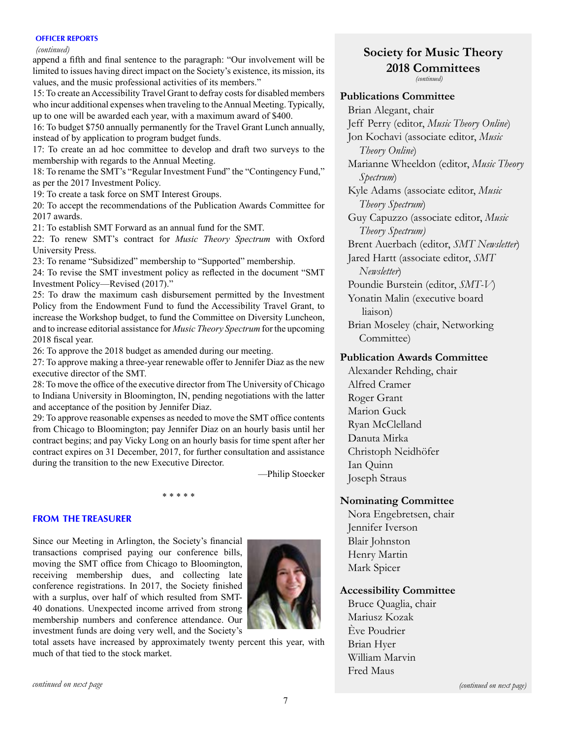#### **OFFICER REPORTS**

#### *(continued)*

append a fifth and final sentence to the paragraph: "Our involvement will be limited to issues having direct impact on the Society's existence, its mission, its values, and the music professional activities of its members."

15: To create an Accessibility Travel Grant to defray costs for disabled members who incur additional expenses when traveling to the Annual Meeting. Typically, up to one will be awarded each year, with a maximum award of \$400.

16: To budget \$750 annually permanently for the Travel Grant Lunch annually, instead of by application to program budget funds.

17: To create an ad hoc committee to develop and draft two surveys to the membership with regards to the Annual Meeting.

18: To rename the SMT's "Regular Investment Fund" the "Contingency Fund," as per the 2017 Investment Policy.

19: To create a task force on SMT Interest Groups.

20: To accept the recommendations of the Publication Awards Committee for 2017 awards.

21: To establish SMT Forward as an annual fund for the SMT.

22: To renew SMT's contract for *Music Theory Spectrum* with Oxford University Press.

23: To rename "Subsidized" membership to "Supported" membership.

24: To revise the SMT investment policy as reflected in the document "SMT Investment Policy—Revised (2017)."

25: To draw the maximum cash disbursement permitted by the Investment Policy from the Endowment Fund to fund the Accessibility Travel Grant, to increase the Workshop budget, to fund the Committee on Diversity Luncheon, and to increase editorial assistance for *Music Theory Spectrum* for the upcoming 2018 fiscal year.

26: To approve the 2018 budget as amended during our meeting.

27: To approve making a three-year renewable offer to Jennifer Diaz as the new executive director of the SMT.

28: To move the office of the executive director from The University of Chicago to Indiana University in Bloomington, IN, pending negotiations with the latter and acceptance of the position by Jennifer Diaz.

29: To approve reasonable expenses as needed to move the SMT office contents from Chicago to Bloomington; pay Jennifer Diaz on an hourly basis until her contract begins; and pay Vicky Long on an hourly basis for time spent after her contract expires on 31 December, 2017, for further consultation and assistance during the transition to the new Executive Director.

—Philip Stoecker

#### \* \* \* \* \*

## **FROM THE TREASURER**

Since our Meeting in Arlington, the Society's financial transactions comprised paying our conference bills, moving the SMT office from Chicago to Bloomington, receiving membership dues, and collecting late conference registrations. In 2017, the Society finished with a surplus, over half of which resulted from SMT-40 donations. Unexpected income arrived from strong membership numbers and conference attendance. Our investment funds are doing very well, and the Society's



total assets have increased by approximately twenty percent this year, with much of that tied to the stock market.

# **Society for Music Theory 2018 Committees** *(continued)*

# **Publications Committee**

Brian Alegant, chair Jeff Perry (editor, *Music Theory Online*) Jon Kochavi (associate editor, *Music Theory Online*) Marianne Wheeldon (editor, *Music Theory Spectrum*) Kyle Adams (associate editor, *Music Theory Spectrum*) Guy Capuzzo (associate editor, *Music Theory Spectrum)* Brent Auerbach (editor, *SMT Newsletter*) Jared Hartt (associate editor, *SMT Newsletter*) Poundie Burstein (editor, *SMT-V*) Yonatin Malin (executive board liaison)

Brian Moseley (chair, Networking Committee)

# **Publication Awards Committee**

Alexander Rehding, chair Alfred Cramer Roger Grant Marion Guck Ryan McClelland Danuta Mirka Christoph Neidhöfer Ian Quinn Joseph Straus

# **Nominating Committee**

Nora Engebretsen, chair Jennifer Iverson Blair Johnston Henry Martin Mark Spicer

# **Accessibility Committee**

Bruce Quaglia, chair Mariusz Kozak Ève Poudrier Brian Hyer William Marvin Fred Maus

*continued on next page*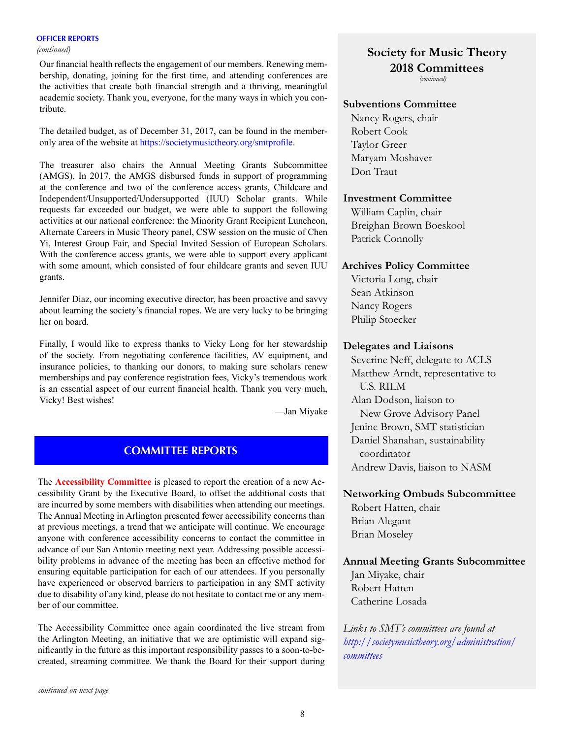#### **OFFICER REPORTS**

Our financial health reflects the engagement of our members. Renewing membership, donating, joining for the first time, and attending conferences are the activities that create both financial strength and a thriving, meaningful academic society. Thank you, everyone, for the many ways in which you contribute.

The detailed budget, as of December 31, 2017, can be found in the memberonly area of the website at <https://societymusictheory.org/smtprofile>.

The treasurer also chairs the Annual Meeting Grants Subcommittee (AMGS). In 2017, the AMGS disbursed funds in support of programming at the conference and two of the conference access grants, Childcare and Independent/Unsupported/Undersupported (IUU) Scholar grants. While requests far exceeded our budget, we were able to support the following activities at our national conference: the Minority Grant Recipient Luncheon, Alternate Careers in Music Theory panel, CSW session on the music of Chen Yi, Interest Group Fair, and Special Invited Session of European Scholars. With the conference access grants, we were able to support every applicant with some amount, which consisted of four childcare grants and seven IUU grants.

Jennifer Diaz, our incoming executive director, has been proactive and savvy about learning the society's financial ropes. We are very lucky to be bringing her on board.

Finally, I would like to express thanks to Vicky Long for her stewardship of the society. From negotiating conference facilities, AV equipment, and insurance policies, to thanking our donors, to making sure scholars renew memberships and pay conference registration fees, Vicky's tremendous work is an essential aspect of our current financial health. Thank you very much, Vicky! Best wishes!

—Jan Miyake

# **COMMITTEE REPORTS**

The **Accessibility Committee** is pleased to report the creation of a new Accessibility Grant by the Executive Board, to offset the additional costs that are incurred by some members with disabilities when attending our meetings. The Annual Meeting in Arlington presented fewer accessibility concerns than at previous meetings, a trend that we anticipate will continue. We encourage anyone with conference accessibility concerns to contact the committee in advance of our San Antonio meeting next year. Addressing possible accessibility problems in advance of the meeting has been an effective method for ensuring equitable participation for each of our attendees. If you personally have experienced or observed barriers to participation in any SMT activity due to disability of any kind, please do not hesitate to contact me or any member of our committee.

The Accessibility Committee once again coordinated the live stream from the Arlington Meeting, an initiative that we are optimistic will expand significantly in the future as this important responsibility passes to a soon-to-becreated, streaming committee. We thank the Board for their support during

# *(continued)* **Society for Music Theory 2018 Committees**

*(continued)*

#### **Subventions Committee**

Nancy Rogers, chair Robert Cook Taylor Greer Maryam Moshaver Don Traut

# **Investment Committee**

William Caplin, chair Breighan Brown Boeskool Patrick Connolly

### **Archives Policy Committee**

Victoria Long, chair Sean Atkinson Nancy Rogers Philip Stoecker

### **Delegates and Liaisons**

Severine Neff, delegate to ACLS Matthew Arndt, representative to U.S. RILM Alan Dodson, liaison to New Grove Advisory Panel Jenine Brown, SMT statistician Daniel Shanahan, sustainability coordinator Andrew Davis, liaison to NASM

## **Networking Ombuds Subcommittee**

Robert Hatten, chair Brian Alegant Brian Moseley

# **Annual Meeting Grants Subcommittee**

Jan Miyake, chair Robert Hatten Catherine Losada

*Links to SMT's committees are found at [http://societymusictheory.org/administration/](http://societymusictheory.org/administration/committees) [committees](http://societymusictheory.org/administration/committees)*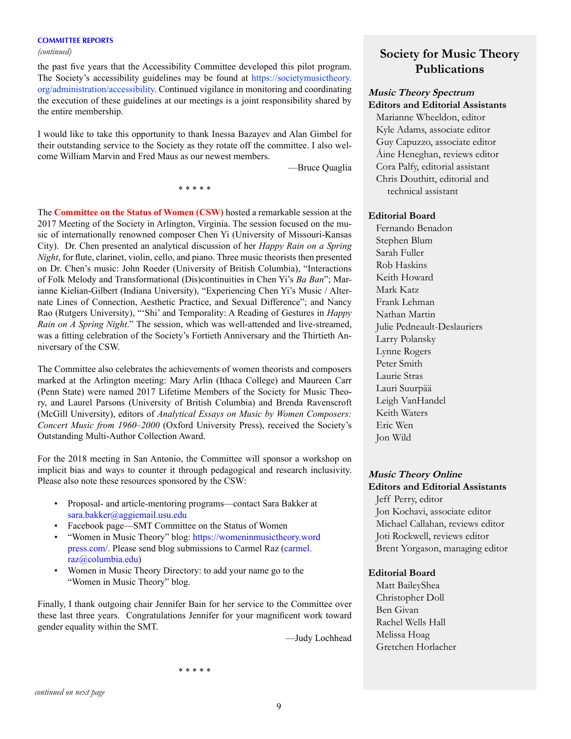the past five years that the Accessibility Committee developed this pilot program. The Society's accessibility guidelines may be found at [https://societymusictheory.](https://societymusictheory.org/administration/accessibility) [org/administration/accessibility.](https://societymusictheory.org/administration/accessibility) Continued vigilance in monitoring and coordinating the execution of these guidelines at our meetings is a joint responsibility shared by the entire membership.

I would like to take this opportunity to thank Inessa Bazayev and Alan Gimbel for their outstanding service to the Society as they rotate off the committee. I also welcome William Marvin and Fred Maus as our newest members.

\* \* \* \* \*

—Bruce Quaglia

The **Committee on the Status of Women (CSW)** hosted a remarkable session at the 2017 Meeting of the Society in Arlington, Virginia. The session focused on the music of internationally renowned composer Chen Yi (University of Missouri-Kansas City). Dr. Chen presented an analytical discussion of her *Happy Rain on a Spring Night*, for flute, clarinet, violin, cello, and piano. Three music theorists then presented on Dr. Chen's music: John Roeder (University of British Columbia), "Interactions of Folk Melody and Transformational (Dis)continuities in Chen Yi's *Ba Ban*"; Marianne Kielian-Gilbert (Indiana University), "Experiencing Chen Yi's Music / Alternate Lines of Connection, Aesthetic Practice, and Sexual Difference"; and Nancy Rao (Rutgers University), "'Shi' and Temporality: A Reading of Gestures in *Happy Rain on A Spring Night*." The session, which was well-attended and live-streamed, was a fitting celebration of the Society's Fortieth Anniversary and the Thirtieth Anniversary of the CSW.

The Committee also celebrates the achievements of women theorists and composers marked at the Arlington meeting: Mary Arlin (Ithaca College) and Maureen Carr (Penn State) were named 2017 Lifetime Members of the Society for Music Theory, and Laurel Parsons (University of British Columbia) and Brenda Ravenscroft (McGill University), editors of *Analytical Essays on Music by Women Composers: Concert Music from 1960–2000* (Oxford University Press), received the Society's Outstanding Multi-Author Collection Award.

For the 2018 meeting in San Antonio, the Committee will sponsor a workshop on implicit bias and ways to counter it through pedagogical and research inclusivity. Please also note these resources sponsored by the CSW:

- Proposal- and article-mentoring programs—contact Sara Bakker at [sara.bakker@aggiemail.usu.edu](mailto:sara.bakker%40aggiemail.usu.edu?subject=)
- Facebook page—SMT Committee on the Status of Women
- "Women in Music Theory" blog: [https://womeninmusictheory.word](https://womeninmusictheory.wordpress.com/)  [press.com/.](https://womeninmusictheory.wordpress.com/) Please send blog submissions to Carmel Raz ([carmel.](mailto:carmel.raz%40columbia.edu?subject=)  [raz@columbia.edu](mailto:carmel.raz%40columbia.edu?subject=))
- Women in Music Theory Directory: to add your name go to the "Women in Music Theory" blog.

Finally, I thank outgoing chair Jennifer Bain for her service to the Committee over these last three years. Congratulations Jennifer for your magnificent work toward gender equality within the SMT.

—Judy Lochhead

# *(continued)* **Society for Music Theory Publications**

### **Music Theory Spectrum Editors and Editorial Assistants**

Marianne Wheeldon, editor Kyle Adams, associate editor Guy Capuzzo, associate editor Áine Heneghan, reviews editor Cora Palfy, editorial assistant Chris Douthitt, editorial and technical assistant

#### **Editorial Board**

Fernando Benadon Stephen Blum Sarah Fuller Rob Haskins Keith Howard Mark Katz Frank Lehman Nathan Martin Julie Pedneault-Deslauriers Larry Polansky Lynne Rogers Peter Smith Laurie Stras Lauri Suurpää Leigh VanHandel Keith Waters Eric Wen Jon Wild

# **Music Theory Online Editors and Editorial Assistants**

Jeff Perry, editor Jon Kochavi, associate editor Michael Callahan, reviews editor Joti Rockwell, reviews editor Brent Yorgason, managing editor

#### **Editorial Board**

Matt BaileyShea Christopher Doll Ben Givan Rachel Wells Hall Melissa Hoag Gretchen Horlacher

\* \* \* \* \*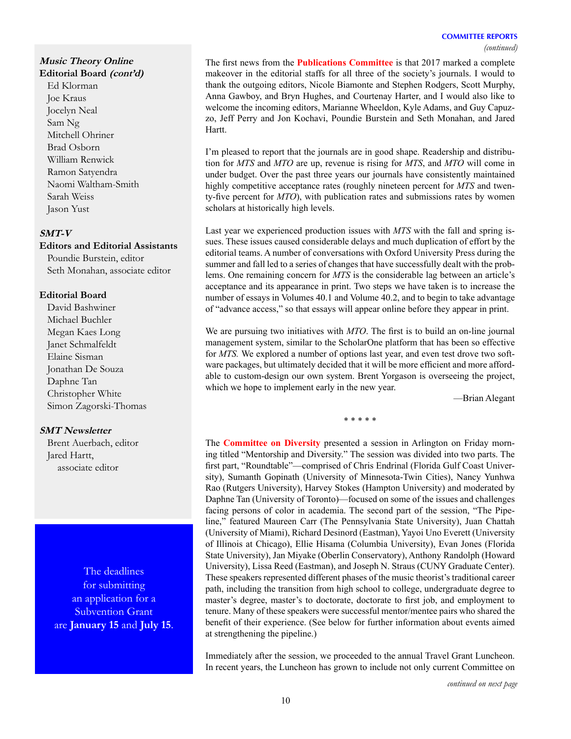#### **COMMITTEE REPORTS** *(continued)*

# **Music Theory Online**

**Editorial Board (cont'd)**

Ed Klorman Joe Kraus Jocelyn Neal Sam Ng Mitchell Ohriner Brad Osborn William Renwick Ramon Satyendra Naomi Waltham-Smith Sarah Weiss Jason Yust

# **SMT-V**

**Editors and Editorial Assistants**  Poundie Burstein, editor Seth Monahan, associate editor

## **Editorial Board**

David Bashwiner Michael Buchler Megan Kaes Long Janet Schmalfeldt Elaine Sisman Jonathan De Souza Daphne Tan Christopher White Simon Zagorski-Thomas

# **SMT Newsletter**

Brent Auerbach, editor Jared Hartt, associate editor

The deadlines for submitting an application for a Subvention Grant are **January 15** and **July 15**. The first news from the **Publications Committee** is that 2017 marked a complete makeover in the editorial staffs for all three of the society's journals. I would to thank the outgoing editors, Nicole Biamonte and Stephen Rodgers, Scott Murphy, Anna Gawboy, and Bryn Hughes, and Courtenay Harter, and I would also like to welcome the incoming editors, Marianne Wheeldon, Kyle Adams, and Guy Capuzzo, Jeff Perry and Jon Kochavi, Poundie Burstein and Seth Monahan, and Jared Hartt.

I'm pleased to report that the journals are in good shape. Readership and distribution for *MTS* and *MTO* are up, revenue is rising for *MTS*, and *MTO* will come in under budget. Over the past three years our journals have consistently maintained highly competitive acceptance rates (roughly nineteen percent for *MTS* and twenty-five percent for *MTO*), with publication rates and submissions rates by women scholars at historically high levels.

Last year we experienced production issues with *MTS* with the fall and spring issues. These issues caused considerable delays and much duplication of effort by the editorial teams. A number of conversations with Oxford University Press during the summer and fall led to a series of changes that have successfully dealt with the problems. One remaining concern for *MTS* is the considerable lag between an article's acceptance and its appearance in print. Two steps we have taken is to increase the number of essays in Volumes 40.1 and Volume 40.2, and to begin to take advantage of "advance access," so that essays will appear online before they appear in print.

We are pursuing two initiatives with *MTO*. The first is to build an on-line journal management system, similar to the ScholarOne platform that has been so effective for *MTS.* We explored a number of options last year, and even test drove two software packages, but ultimately decided that it will be more efficient and more affordable to custom-design our own system. Brent Yorgason is overseeing the project, which we hope to implement early in the new year.

—Brian Alegant

\* \* \* \* \*

The **Committee on Diversity** presented a session in Arlington on Friday morning titled "Mentorship and Diversity." The session was divided into two parts. The first part, "Roundtable"—comprised of Chris Endrinal (Florida Gulf Coast University), Sumanth Gopinath (University of Minnesota-Twin Cities), Nancy Yunhwa Rao (Rutgers University), Harvey Stokes (Hampton University) and moderated by Daphne Tan (University of Toronto)—focused on some of the issues and challenges facing persons of color in academia. The second part of the session, "The Pipeline," featured Maureen Carr (The Pennsylvania State University), Juan Chattah (University of Miami), Richard Desinord (Eastman), Yayoi Uno Everett (University of Illinois at Chicago), Ellie Hisama (Columbia University), Evan Jones (Florida State University), Jan Miyake (Oberlin Conservatory), Anthony Randolph (Howard University), Lissa Reed (Eastman), and Joseph N. Straus (CUNY Graduate Center). These speakers represented different phases of the music theorist's traditional career path, including the transition from high school to college, undergraduate degree to master's degree, master's to doctorate, doctorate to first job, and employment to tenure. Many of these speakers were successful mentor/mentee pairs who shared the benefit of their experience. (See below for further information about events aimed at strengthening the pipeline.)

Immediately after the session, we proceeded to the annual Travel Grant Luncheon. In recent years, the Luncheon has grown to include not only current Committee on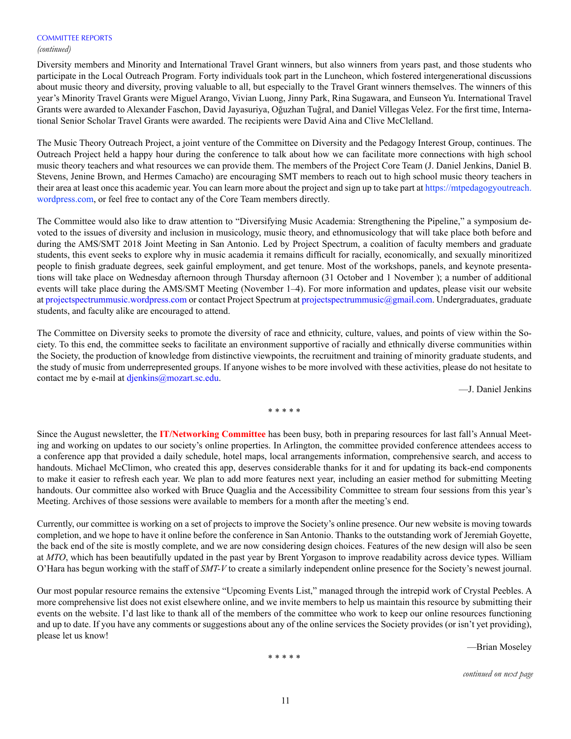#### *(continued)*

Diversity members and Minority and International Travel Grant winners, but also winners from years past, and those students who participate in the Local Outreach Program. Forty individuals took part in the Luncheon, which fostered intergenerational discussions about music theory and diversity, proving valuable to all, but especially to the Travel Grant winners themselves. The winners of this year's Minority Travel Grants were Miguel Arango, Vivian Luong, Jinny Park, Rina Sugawara, and Eunseon Yu. International Travel Grants were awarded to Alexander Faschon, David Jayasuriya, Oğuzhan Tuğral, and Daniel Villegas Velez. For the first time, International Senior Scholar Travel Grants were awarded. The recipients were David Aina and Clive McClelland.

The Music Theory Outreach Project, a joint venture of the Committee on Diversity and the Pedagogy Interest Group, continues. The Outreach Project held a happy hour during the conference to talk about how we can facilitate more connections with high school music theory teachers and what resources we can provide them. The members of the Project Core Team (J. Daniel Jenkins, Daniel B. Stevens, Jenine Brown, and Hermes Camacho) are encouraging SMT members to reach out to high school music theory teachers in their area at least once this academic year. You can learn more about the project and sign up to take part at [https://mtpedagogyoutreach.](https://mtpedagogyoutreach.wordpress.com) [wordpress.com](https://mtpedagogyoutreach.wordpress.com), or feel free to contact any of the Core Team members directly.

The Committee would also like to draw attention to "Diversifying Music Academia: Strengthening the Pipeline," a symposium devoted to the issues of diversity and inclusion in musicology, music theory, and ethnomusicology that will take place both before and during the AMS/SMT 2018 Joint Meeting in San Antonio. Led by Project Spectrum, a coalition of faculty members and graduate students, this event seeks to explore why in music academia it remains difficult for racially, economically, and sexually minoritized people to finish graduate degrees, seek gainful employment, and get tenure. Most of the workshops, panels, and keynote presentations will take place on Wednesday afternoon through Thursday afternoon (31 October and 1 November ); a number of additional events will take place during the AMS/SMT Meeting (November 1–4). For more information and updates, please visit our website at [projectspectrummusic.wordpress.com](http://projectspectrummusic.wordpress.com) or contact Project Spectrum at [projectspectrummusic@gmail.com](mailto:projectspectrummusic@gmail.com). Undergraduates, graduate students, and faculty alike are encouraged to attend.

The Committee on Diversity seeks to promote the diversity of race and ethnicity, culture, values, and points of view within the Society. To this end, the committee seeks to facilitate an environment supportive of racially and ethnically diverse communities within the Society, the production of knowledge from distinctive viewpoints, the recruitment and training of minority graduate students, and the study of music from underrepresented groups. If anyone wishes to be more involved with these activities, please do not hesitate to contact me by e-mail at [djenkins@mozart.sc.edu.](mailto:djenkins@mozart.sc.edu)

—J. Daniel Jenkins

#### \* \* \* \* \*

Since the August newsletter, the **IT/Networking Committee** has been busy, both in preparing resources for last fall's Annual Meeting and working on updates to our society's online properties. In Arlington, the committee provided conference attendees access to a conference app that provided a daily schedule, hotel maps, local arrangements information, comprehensive search, and access to handouts. Michael McClimon, who created this app, deserves considerable thanks for it and for updating its back-end components to make it easier to refresh each year. We plan to add more features next year, including an easier method for submitting Meeting handouts. Our committee also worked with Bruce Quaglia and the Accessibility Committee to stream four sessions from this year's Meeting. Archives of those sessions were available to members for a month after the meeting's end.

Currently, our committee is working on a set of projects to improve the Society's online presence. Our new website is moving towards completion, and we hope to have it online before the conference in San Antonio. Thanks to the outstanding work of Jeremiah Goyette, the back end of the site is mostly complete, and we are now considering design choices. Features of the new design will also be seen at *MTO*, which has been beautifully updated in the past year by Brent Yorgason to improve readability across device types. William O'Hara has begun working with the staff of *SMT-V* to create a similarly independent online presence for the Society's newest journal.

Our most popular resource remains the extensive "Upcoming Events List," managed through the intrepid work of Crystal Peebles. A more comprehensive list does not exist elsewhere online, and we invite members to help us maintain this resource by submitting their events on the website. I'd last like to thank all of the members of the committee who work to keep our online resources functioning and up to date. If you have any comments or suggestions about any of the online services the Society provides (or isn't yet providing), please let us know!

—Brian Moseley

\* \* \* \* \*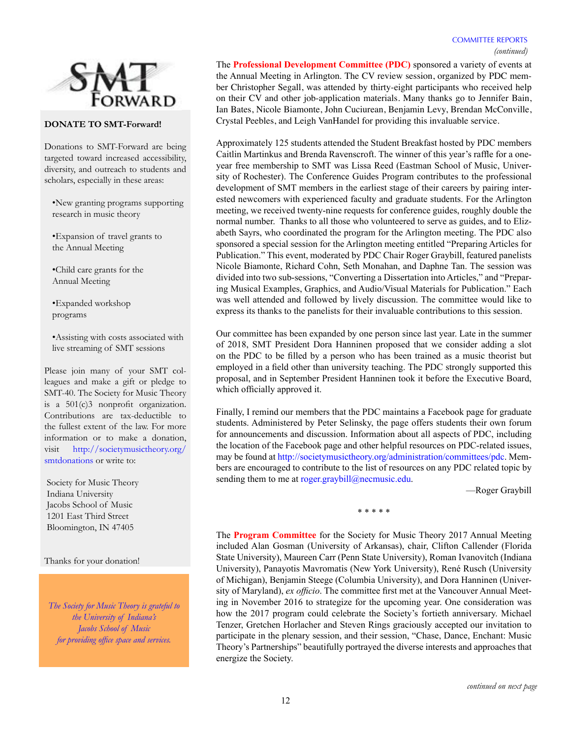

## **DONATE TO SMT-Forward!**

Donations to SMT-Forward are being targeted toward increased accessibility, diversity, and outreach to students and scholars, especially in these areas:

•New granting programs supporting research in music theory

•Expansion of travel grants to the Annual Meeting

•Child care grants for the Annual Meeting

•Expanded workshop programs

•Assisting with costs associated with live streaming of SMT sessions

Please join many of your SMT colleagues and make a gift or pledge to SMT-40. The Society for Music Theory is a 501(c)3 nonprofit organization. Contributions are tax-deductible to the fullest extent of the law. For more information or to make a donation, visit [http://societymusictheory.org/](http://societymusictheory.org/smtdonations) [smtdonations](http://societymusictheory.org/smtdonations) or write to:

Society for Music Theory Indiana University Jacobs School of Music 1201 East Third Street Bloomington, IN 47405

Thanks for your donation!

*The Society for Music Theory is grateful to the University of Indiana's Jacobs School of Music for providing office space and services.*

The **Professional Development Committee (PDC)** sponsored a variety of events at the Annual Meeting in Arlington. The CV review session, organized by PDC member Christopher Segall, was attended by thirty-eight participants who received help on their CV and other job-application materials. Many thanks go to Jennifer Bain, Ian Bates, Nicole Biamonte, John Cuciurean, Benjamin Levy, Brendan McConville, Crystal Peebles, and Leigh VanHandel for providing this invaluable service.

Approximately 125 students attended the Student Breakfast hosted by PDC members Caitlin Martinkus and Brenda Ravenscroft. The winner of this year's raffle for a oneyear free membership to SMT was Lissa Reed (Eastman School of Music, University of Rochester). The Conference Guides Program contributes to the professional development of SMT members in the earliest stage of their careers by pairing interested newcomers with experienced faculty and graduate students. For the Arlington meeting, we received twenty-nine requests for conference guides, roughly double the normal number. Thanks to all those who volunteered to serve as guides, and to Elizabeth Sayrs, who coordinated the program for the Arlington meeting. The PDC also sponsored a special session for the Arlington meeting entitled "Preparing Articles for Publication." This event, moderated by PDC Chair Roger Graybill, featured panelists Nicole Biamonte, Richard Cohn, Seth Monahan, and Daphne Tan. The session was divided into two sub-sessions, "Converting a Dissertation into Articles," and "Preparing Musical Examples, Graphics, and Audio/Visual Materials for Publication." Each was well attended and followed by lively discussion. The committee would like to express its thanks to the panelists for their invaluable contributions to this session.

Our committee has been expanded by one person since last year. Late in the summer of 2018, SMT President Dora Hanninen proposed that we consider adding a slot on the PDC to be filled by a person who has been trained as a music theorist but employed in a field other than university teaching. The PDC strongly supported this proposal, and in September President Hanninen took it before the Executive Board, which officially approved it.

Finally, I remind our members that the PDC maintains a Facebook page for graduate students. Administered by Peter Selinsky, the page offers students their own forum for announcements and discussion. Information about all aspects of PDC, including the location of the Facebook page and other helpful resources on PDC-related issues, may be found at<http://societymusictheory.org/administration/committees/pdc>. Members are encouraged to contribute to the list of resources on any PDC related topic by sending them to me at [roger.graybill@necmusic.edu.](mailto:roger.graybill@necmusic.edu)

—Roger Graybill

\* \* \* \* \*

The **Program Committee** for the Society for Music Theory 2017 Annual Meeting included Alan Gosman (University of Arkansas), chair, Clifton Callender (Florida State University), Maureen Carr (Penn State University), Roman Ivanovitch (Indiana University), Panayotis Mavromatis (New York University), René Rusch (University of Michigan), Benjamin Steege (Columbia University), and Dora Hanninen (University of Maryland), *ex officio*. The committee first met at the Vancouver Annual Meeting in November 2016 to strategize for the upcoming year. One consideration was how the 2017 program could celebrate the Society's fortieth anniversary. Michael Tenzer, Gretchen Horlacher and Steven Rings graciously accepted our invitation to participate in the plenary session, and their session, "Chase, Dance, Enchant: Music Theory's Partnerships" beautifully portrayed the diverse interests and approaches that energize the Society.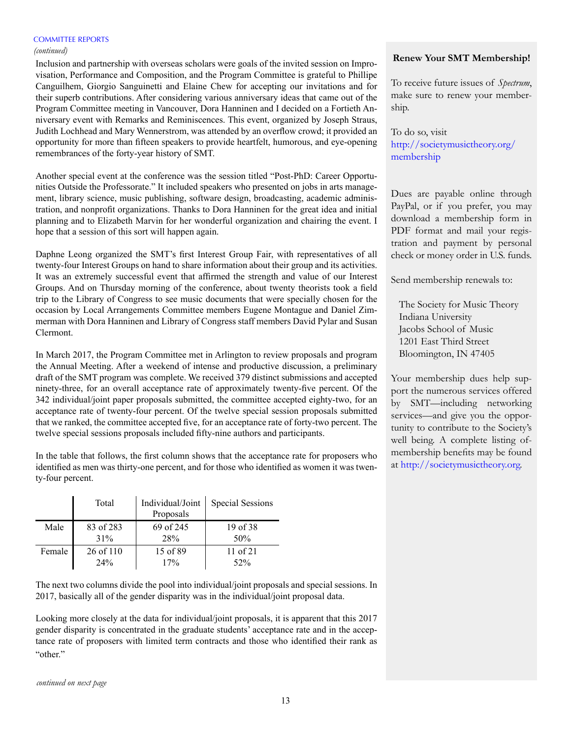#### *(continued)*

Inclusion and partnership with overseas scholars were goals of the invited session on Improvisation, Performance and Composition, and the Program Committee is grateful to Phillipe Canguilhem, Giorgio Sanguinetti and Elaine Chew for accepting our invitations and for their superb contributions. After considering various anniversary ideas that came out of the Program Committee meeting in Vancouver, Dora Hanninen and I decided on a Fortieth Anniversary event with Remarks and Reminiscences. This event, organized by Joseph Straus, Judith Lochhead and Mary Wennerstrom, was attended by an overflow crowd; it provided an opportunity for more than fifteen speakers to provide heartfelt, humorous, and eye-opening remembrances of the forty-year history of SMT.

Another special event at the conference was the session titled "Post-PhD: Career Opportunities Outside the Professorate." It included speakers who presented on jobs in arts management, library science, music publishing, software design, broadcasting, academic administration, and nonprofit organizations. Thanks to Dora Hanninen for the great idea and initial planning and to Elizabeth Marvin for her wonderful organization and chairing the event. I hope that a session of this sort will happen again.

Daphne Leong organized the SMT's first Interest Group Fair, with representatives of all twenty-four Interest Groups on hand to share information about their group and its activities. It was an extremely successful event that affirmed the strength and value of our Interest Groups. And on Thursday morning of the conference, about twenty theorists took a field trip to the Library of Congress to see music documents that were specially chosen for the occasion by Local Arrangements Committee members Eugene Montague and Daniel Zimmerman with Dora Hanninen and Library of Congress staff members David Pylar and Susan Clermont.

In March 2017, the Program Committee met in Arlington to review proposals and program the Annual Meeting. After a weekend of intense and productive discussion, a preliminary draft of the SMT program was complete. We received 379 distinct submissions and accepted ninety-three, for an overall acceptance rate of approximately twenty-five percent. Of the 342 individual/joint paper proposals submitted, the committee accepted eighty-two, for an acceptance rate of twenty-four percent. Of the twelve special session proposals submitted that we ranked, the committee accepted five, for an acceptance rate of forty-two percent. The twelve special sessions proposals included fifty-nine authors and participants.

In the table that follows, the first column shows that the acceptance rate for proposers who identified as men was thirty-one percent, and for those who identified as women it was twenty-four percent.

|        | Total     | Individual/Joint<br>Proposals | <b>Special Sessions</b> |
|--------|-----------|-------------------------------|-------------------------|
| Male   | 83 of 283 | 69 of 245                     | 19 of 38                |
|        | 31%       | 28%                           | 50%                     |
| Female | 26 of 110 | 15 of 89                      | $11$ of $21$            |
|        | 24%       | 17%                           | 52%                     |

The next two columns divide the pool into individual/joint proposals and special sessions. In 2017, basically all of the gender disparity was in the individual/joint proposal data.

Looking more closely at the data for individual/joint proposals, it is apparent that this 2017 gender disparity is concentrated in the graduate students' acceptance rate and in the acceptance rate of proposers with limited term contracts and those who identified their rank as "other"

#### *continued on next page*

## **Renew Your SMT Membership!**

To receive future issues of *Spectrum*, make sure to renew your membership.

To do so, visit [http://societymusictheory.org/](http://societymusictheory.org/membership) [membership](http://societymusictheory.org/membership)

Dues are payable online through PayPal, or if you prefer, you may download a membership form in PDF format and mail your registration and payment by personal check or money order in U.S. funds.

Send membership renewals to:

The Society for Music Theory Indiana University Jacobs School of Music 1201 East Third Street Bloomington, IN 47405

Your membership dues help support the numerous services offered by SMT—including networking services—and give you the opportunity to contribute to the Society's well being. A complete listing ofmembership benefits may be found at [http://societymusictheory.org.](http://societymusictheory.org)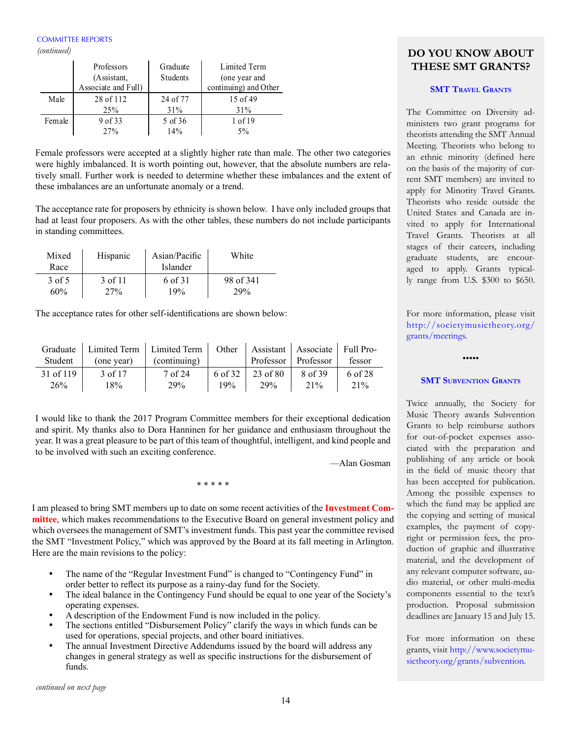*(continued)*

|        | Professors          | Graduate | Limited Term          |
|--------|---------------------|----------|-----------------------|
|        | (Assistant,         | Students | (one year and         |
|        | Associate and Full) |          | continuing) and Other |
| Male   | 28 of 112           | 24 of 77 | $15$ of 49            |
|        | 25%                 | 31%      | 31%                   |
| Female | 9 of 33             | 5 of 36  | 1 of 19               |
|        | 27%                 | 14%      | 5%                    |

Female professors were accepted at a slightly higher rate than male. The other two categories were highly imbalanced. It is worth pointing out, however, that the absolute numbers are relatively small. Further work is needed to determine whether these imbalances and the extent of these imbalances are an unfortunate anomaly or a trend.

The acceptance rate for proposers by ethnicity is shown below. I have only included groups that had at least four proposers. As with the other tables, these numbers do not include participants in standing committees.

| Mixed  | Hispanic | Asian/Pacific | White     |  |
|--------|----------|---------------|-----------|--|
| Race   |          | Islander      |           |  |
| 3 of 5 | 3 of 11  | 6 of 31       | 98 of 341 |  |
| 60%    | 27%      | 19%           | 29%       |  |

The acceptance rates for other self-identifications are shown below:

| Student   | (one year) | Graduate   Limited Term   Limited Term   Other   Assistant   Associate   Full Pro-<br>(continuing) |         | Professor   Professor |         | fessor  |
|-----------|------------|----------------------------------------------------------------------------------------------------|---------|-----------------------|---------|---------|
| 31 of 119 | 3 of 17    | 7 of 24                                                                                            | 6 of 32 | 23 of 80              | 8 of 39 | 6 of 28 |
| 26%       | 18%        | 29%                                                                                                | 19%     | <b>29%</b>            | 21%     | 21%     |

I would like to thank the 2017 Program Committee members for their exceptional dedication and spirit. My thanks also to Dora Hanninen for her guidance and enthusiasm throughout the year. It was a great pleasure to be part of this team of thoughtful, intelligent, and kind people and to be involved with such an exciting conference.

—Alan Gosman

I am pleased to bring SMT members up to date on some recent activities of the **Investment Committee**, which makes recommendations to the Executive Board on general investment policy and which oversees the management of SMT's investment funds. This past year the committee revised the SMT "Investment Policy," which was approved by the Board at its fall meeting in Arlington. Here are the main revisions to the policy:

\* \* \* \* \*

- The name of the "Regular Investment Fund" is changed to "Contingency Fund" in order better to reflect its purpose as a rainy-day fund for the Society.
- The ideal balance in the Contingency Fund should be equal to one year of the Society's operating expenses.
- A description of the Endowment Fund is now included in the policy.
- The sections entitled "Disbursement Policy" clarify the ways in which funds can be used for operations, special projects, and other board initiatives.
- The annual Investment Directive Addendums issued by the board will address any changes in general strategy as well as specific instructions for the disbursement of funds.

*continued on next page*

# **DO YOU KNOW ABOUT THESE SMT GRANTS?**

# **SMT TRAVEL GRANTS**

The Committee on Diversity administers two grant programs for theorists attending the SMT Annual Meeting. Theorists who belong to an ethnic minority (defined here on the basis of the majority of current SMT members) are invited to apply for Minority Travel Grants. Theorists who reside outside the United States and Canada are invited to apply for International Travel Grants. Theorists at all stages of their careers, including graduate students, are encouraged to apply. Grants typically range from U.S. \$300 to \$650.

For more information, please visit [http://societymusictheory.org/](http://societymusictheory.org/grants/meetings) [grants/m](http://societymusictheory.org/grants/meetings)eetings.

## **SMT SUBVENTION GRANTS**

•••••

Twice annually, the Society for Music Theory awards Subvention Grants to help reimburse authors for out-of-pocket expenses associated with the preparation and publishing of any article or book in the field of music theory that has been accepted for publication. Among the possible expenses to which the fund may be applied are the copying and setting of musical examples, the payment of copyright or permission fees, the production of graphic and illustrative material, and the development of any relevant computer software, audio material, or other multi-media components essential to the text's production. Proposal submission deadlines are January 15 and July 15.

For more information on these grants, visit [http://www.societymu](https://societymusictheory.org/grants/subvention)[sictheory.org/grants/subvention](https://societymusictheory.org/grants/subvention).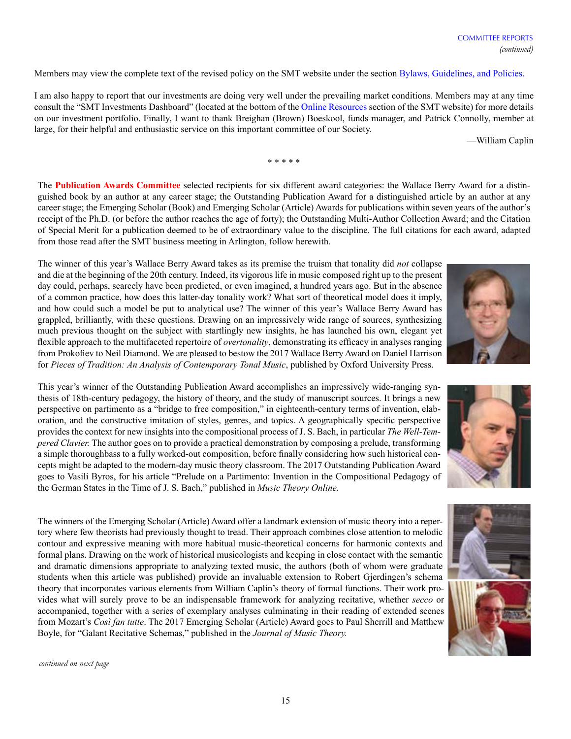Members may view the complete text of the revised policy on the SMT website under the section [Bylaws, Guidelines, and Policies.](https://societymusictheory.org/administration/legal)

I am also happy to report that our investments are doing very well under the prevailing market conditions. Members may at any time consult the "SMT Investments Dashboard" (located at the bottom of the [Online Resources](https://societymusictheory.org/online_resources) section of the SMT website) for more details on our investment portfolio. Finally, I want to thank Breighan (Brown) Boeskool, funds manager, and Patrick Connolly, member at large, for their helpful and enthusiastic service on this important committee of our Society.

—William Caplin

The **Publication Awards Committee** selected recipients for six different award categories: the Wallace Berry Award for a distinguished book by an author at any career stage; the Outstanding Publication Award for a distinguished article by an author at any career stage; the Emerging Scholar (Book) and Emerging Scholar (Article) Awards for publications within seven years of the author's receipt of the Ph.D. (or before the author reaches the age of forty); the Outstanding Multi-Author Collection Award; and the Citation of Special Merit for a publication deemed to be of extraordinary value to the discipline. The full citations for each award, adapted from those read after the SMT business meeting in Arlington, follow herewith.

\* \* \* \* \*

The winner of this year's Wallace Berry Award takes as its premise the truism that tonality did *not* collapse and die at the beginning of the 20th century. Indeed, its vigorous life in music composed right up to the present day could, perhaps, scarcely have been predicted, or even imagined, a hundred years ago. But in the absence of a common practice, how does this latter-day tonality work? What sort of theoretical model does it imply, and how could such a model be put to analytical use? The winner of this year's Wallace Berry Award has grappled, brilliantly, with these questions. Drawing on an impressively wide range of sources, synthesizing much previous thought on the subject with startlingly new insights, he has launched his own, elegant yet flexible approach to the multifaceted repertoire of *overtonality*, demonstrating its efficacy in analyses ranging from Prokofiev to Neil Diamond. We are pleased to bestow the 2017 Wallace Berry Award on Daniel Harrison for *Pieces of Tradition: An Analysis of Contemporary Tonal Music*, published by Oxford University Press.

This year's winner of the Outstanding Publication Award accomplishes an impressively wide-ranging synthesis of 18th-century pedagogy, the history of theory, and the study of manuscript sources. It brings a new perspective on partimento as a "bridge to free composition," in eighteenth-century terms of invention, elaboration, and the constructive imitation of styles, genres, and topics. A geographically specific perspective provides the context for new insights into the compositional process of J. S. Bach, in particular *The Well-Tempered Clavier.* The author goes on to provide a practical demonstration by composing a prelude, transforming a simple thoroughbass to a fully worked-out composition, before finally considering how such historical concepts might be adapted to the modern-day music theory classroom. The 2017 Outstanding Publication Award goes to Vasili Byros, for his article "Prelude on a Partimento: Invention in the Compositional Pedagogy of the German States in the Time of J. S. Bach," published in *Music Theory Online.*

The winners of the Emerging Scholar (Article) Award offer a landmark extension of music theory into a repertory where few theorists had previously thought to tread. Their approach combines close attention to melodic contour and expressive meaning with more habitual music-theoretical concerns for harmonic contexts and formal plans. Drawing on the work of historical musicologists and keeping in close contact with the semantic and dramatic dimensions appropriate to analyzing texted music, the authors (both of whom were graduate students when this article was published) provide an invaluable extension to Robert Gjerdingen's schema theory that incorporates various elements from William Caplin's theory of formal functions. Their work provides what will surely prove to be an indispensable framework for analyzing recitative, whether *secco* or accompanied, together with a series of exemplary analyses culminating in their reading of extended scenes from Mozart's *Così fan tutte*. The 2017 Emerging Scholar (Article) Award goes to Paul Sherrill and Matthew Boyle, for "Galant Recitative Schemas," published in the *Journal of Music Theory.*

*continued on next page*





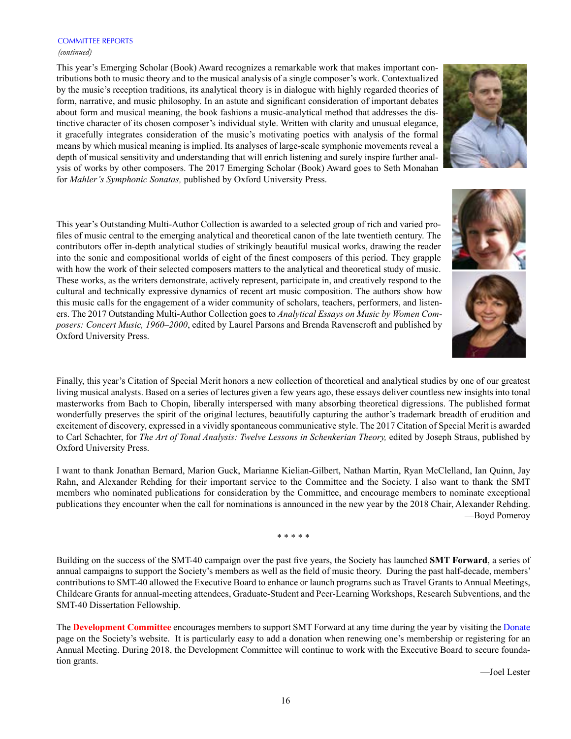#### COMMITTEE REPORTS *(continued)*

This year's Emerging Scholar (Book) Award recognizes a remarkable work that makes important contributions both to music theory and to the musical analysis of a single composer's work. Contextualized by the music's reception traditions, its analytical theory is in dialogue with highly regarded theories of form, narrative, and music philosophy. In an astute and significant consideration of important debates about form and musical meaning, the book fashions a music-analytical method that addresses the distinctive character of its chosen composer's individual style. Written with clarity and unusual elegance, it gracefully integrates consideration of the music's motivating poetics with analysis of the formal means by which musical meaning is implied. Its analyses of large-scale symphonic movements reveal a depth of musical sensitivity and understanding that will enrich listening and surely inspire further analysis of works by other composers. The 2017 Emerging Scholar (Book) Award goes to Seth Monahan for *Mahler's Symphonic Sonatas,* published by Oxford University Press.

This year's Outstanding Multi-Author Collection is awarded to a selected group of rich and varied profiles of music central to the emerging analytical and theoretical canon of the late twentieth century. The contributors offer in-depth analytical studies of strikingly beautiful musical works, drawing the reader into the sonic and compositional worlds of eight of the finest composers of this period. They grapple with how the work of their selected composers matters to the analytical and theoretical study of music. These works, as the writers demonstrate, actively represent, participate in, and creatively respond to the cultural and technically expressive dynamics of recent art music composition. The authors show how this music calls for the engagement of a wider community of scholars, teachers, performers, and listeners. The 2017 Outstanding Multi-Author Collection goes to *Analytical Essays on Music by Women Composers: Concert Music, 1960–2000*, edited by Laurel Parsons and Brenda Ravenscroft and published by Oxford University Press.

Finally, this year's Citation of Special Merit honors a new collection of theoretical and analytical studies by one of our greatest living musical analysts. Based on a series of lectures given a few years ago, these essays deliver countless new insights into tonal masterworks from Bach to Chopin, liberally interspersed with many absorbing theoretical digressions. The published format wonderfully preserves the spirit of the original lectures, beautifully capturing the author's trademark breadth of erudition and excitement of discovery, expressed in a vividly spontaneous communicative style. The 2017 Citation of Special Merit is awarded to Carl Schachter, for *The Art of Tonal Analysis: Twelve Lessons in Schenkerian Theory,* edited by Joseph Straus, published by Oxford University Press.

I want to thank Jonathan Bernard, Marion Guck, Marianne Kielian-Gilbert, Nathan Martin, Ryan McClelland, Ian Quinn, Jay Rahn, and Alexander Rehding for their important service to the Committee and the Society. I also want to thank the SMT members who nominated publications for consideration by the Committee, and encourage members to nominate exceptional publications they encounter when the call for nominations is announced in the new year by the 2018 Chair, Alexander Rehding. —Boyd Pomeroy

\* \* \* \* \*

Building on the success of the SMT-40 campaign over the past five years, the Society has launched **SMT Forward**, a series of annual campaigns to support the Society's members as well as the field of music theory. During the past half-decade, members' contributions to SMT-40 allowed the Executive Board to enhance or launch programs such as Travel Grants to Annual Meetings, Childcare Grants for annual-meeting attendees, Graduate-Student and Peer-Learning Workshops, Research Subventions, and the SMT-40 Dissertation Fellowship.

The **Development Committee** encourages members to support SMT Forward at any time during the year by visiting the [Donate](https://societymusictheory.org/smtdonations) page on the Society's website. It is particularly easy to add a donation when renewing one's membership or registering for an Annual Meeting. During 2018, the Development Committee will continue to work with the Executive Board to secure foundation grants.





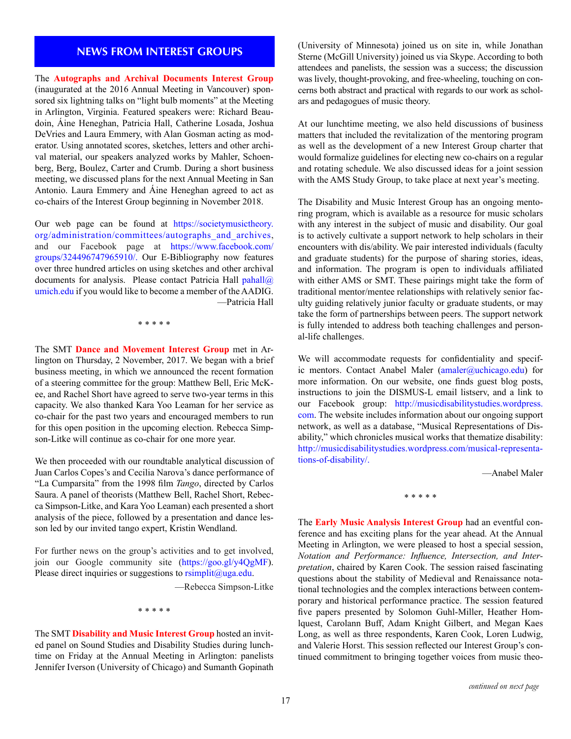The **Autographs and Archival Documents Interest Group** (inaugurated at the 2016 Annual Meeting in Vancouver) sponsored six lightning talks on "light bulb moments" at the Meeting in Arlington, Virginia. Featured speakers were: Richard Beaudoin, Áine Heneghan, Patricia Hall, Catherine Losada, Joshua DeVries and Laura Emmery, with Alan Gosman acting as moderator. Using annotated scores, sketches, letters and other archival material, our speakers analyzed works by Mahler, Schoenberg, Berg, Boulez, Carter and Crumb. During a short business meeting, we discussed plans for the next Annual Meeting in San Antonio. Laura Emmery and Áine Heneghan agreed to act as co-chairs of the Interest Group beginning in November 2018.

Our web page can be found at [https://societymusictheory.](https://societymusictheory.org/administration/committees/autographs_and_archives) [org/administration/committees/autographs\\_and\\_archives,](https://societymusictheory.org/administration/committees/autographs_and_archives) and our Facebook page at [https://www.facebook.com/](https://www.facebook.com/groups/324496747965910/) [groups/324496747965910/](https://www.facebook.com/groups/324496747965910/). Our E-Bibliography now features over three hundred articles on using sketches and other archival documents for analysis. Please contact Patricia Hall  $\text{pahall}(a)$ [umich.edu](mailto:pahall@umich.edu) if you would like to become a member of the AADIG. —Patricia Hall

\* \* \* \* \*

The SMT **Dance and Movement Interest Group** met in Arlington on Thursday, 2 November, 2017. We began with a brief business meeting, in which we announced the recent formation of a steering committee for the group: Matthew Bell, Eric McKee, and Rachel Short have agreed to serve two-year terms in this capacity. We also thanked Kara Yoo Leaman for her service as co-chair for the past two years and encouraged members to run for this open position in the upcoming election. Rebecca Simpson-Litke will continue as co-chair for one more year.

We then proceeded with our roundtable analytical discussion of Juan Carlos Copes's and Cecilia Narova's dance performance of "La Cumparsita" from the 1998 film *Tango*, directed by Carlos Saura. A panel of theorists (Matthew Bell, Rachel Short, Rebecca Simpson-Litke, and Kara Yoo Leaman) each presented a short analysis of the piece, followed by a presentation and dance lesson led by our invited tango expert, Kristin Wendland.

For further news on the group's activities and to get involved, join our Google community site [\(https://goo.gl/y4QgMF\)](https://goo.gl/y4QgMF). Please direct inquiries or suggestions to [rsimplit@uga.edu](mailto:rsimplit@uga.edu).

—Rebecca Simpson-Litke

\* \* \* \* \*

The SMT **Disability and Music Interest Group** hosted an invited panel on Sound Studies and Disability Studies during lunchtime on Friday at the Annual Meeting in Arlington: panelists Jennifer Iverson (University of Chicago) and Sumanth Gopinath

**NEWS FROM INTEREST GROUPS** (University of Minnesota) joined us on site in, while Jonathan<br>
Sterms (McCill University) issued us via Slame, According to heth Sterne (McGill University) joined us via Skype. According to both attendees and panelists, the session was a success; the discussion was lively, thought-provoking, and free-wheeling, touching on concerns both abstract and practical with regards to our work as scholars and pedagogues of music theory.

> At our lunchtime meeting, we also held discussions of business matters that included the revitalization of the mentoring program as well as the development of a new Interest Group charter that would formalize guidelines for electing new co-chairs on a regular and rotating schedule. We also discussed ideas for a joint session with the AMS Study Group, to take place at next year's meeting.

> The Disability and Music Interest Group has an ongoing mentoring program, which is available as a resource for music scholars with any interest in the subject of music and disability. Our goal is to actively cultivate a support network to help scholars in their encounters with dis/ability. We pair interested individuals (faculty and graduate students) for the purpose of sharing stories, ideas, and information. The program is open to individuals affiliated with either AMS or SMT. These pairings might take the form of traditional mentor/mentee relationships with relatively senior faculty guiding relatively junior faculty or graduate students, or may take the form of partnerships between peers. The support network is fully intended to address both teaching challenges and personal-life challenges.

> We will accommodate requests for confidentiality and specif-ic mentors. Contact Anabel Maler [\(amaler@uchicago.edu\)](mailto:amaler@uchicago.edu) for more information. On our website, one finds guest blog posts, instructions to join the DISMUS-L email listserv, and a link to our Facebook group: [http://musicdisabilitystudies.wordpress.](http://musicdisabilitystudies.wordpress.com) [com.](http://musicdisabilitystudies.wordpress.com) The website includes information about our ongoing support network, as well as a database, "Musical Representations of Disability," which chronicles musical works that thematize disability: [http://musicdisabilitystudies.wordpress.com/musical-representa](http://musicdisabilitystudies.wordpress.com/musical-representations-of-disability/)[tions-of-disability/](http://musicdisabilitystudies.wordpress.com/musical-representations-of-disability/).

> > —Anabel Maler

\* \* \* \* \*

The **Early Music Analysis Interest Group** had an eventful conference and has exciting plans for the year ahead. At the Annual Meeting in Arlington, we were pleased to host a special session, *Notation and Performance: Influence, Intersection, and Interpretation*, chaired by Karen Cook. The session raised fascinating questions about the stability of Medieval and Renaissance notational technologies and the complex interactions between contemporary and historical performance practice. The session featured five papers presented by Solomon Guhl-Miller, Heather Homlquest, Carolann Buff, Adam Knight Gilbert, and Megan Kaes Long, as well as three respondents, Karen Cook, Loren Ludwig, and Valerie Horst. This session reflected our Interest Group's continued commitment to bringing together voices from music theo-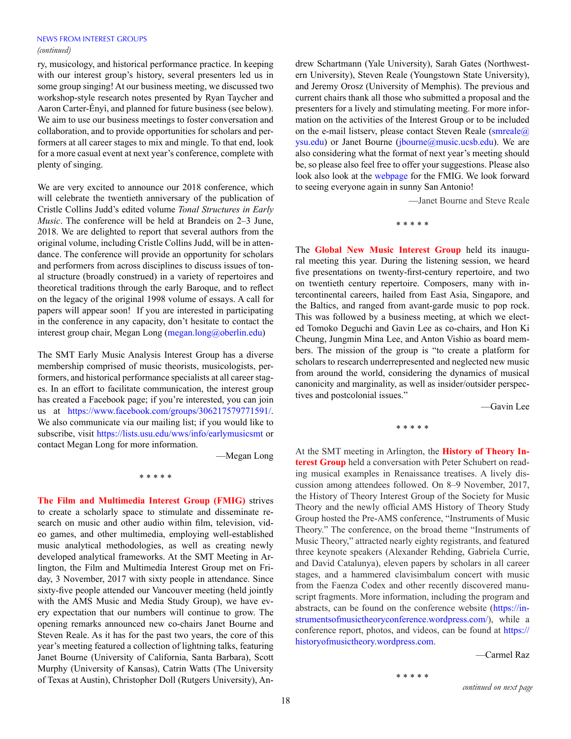#### NEWS FROM INTEREST GROUPS *(continued)*

ry, musicology, and historical performance practice. In keeping with our interest group's history, several presenters led us in some group singing! At our business meeting, we discussed two workshop-style research notes presented by Ryan Taycher and Aaron Carter-Ényì, and planned for future business (see below). We aim to use our business meetings to foster conversation and collaboration, and to provide opportunities for scholars and performers at all career stages to mix and mingle. To that end, look for a more casual event at next year's conference, complete with plenty of singing.

We are very excited to announce our 2018 conference, which will celebrate the twentieth anniversary of the publication of Cristle Collins Judd's edited volume *Tonal Structures in Early Music*. The conference will be held at Brandeis on 2–3 June, 2018. We are delighted to report that several authors from the original volume, including Cristle Collins Judd, will be in attendance. The conference will provide an opportunity for scholars and performers from across disciplines to discuss issues of tonal structure (broadly construed) in a variety of repertoires and theoretical traditions through the early Baroque, and to reflect on the legacy of the original 1998 volume of essays. A call for papers will appear soon! If you are interested in participating in the conference in any capacity, don't hesitate to contact the interest group chair, Megan Long ([megan.long@oberlin.edu\)](mailto:megan.long@oberlin.edu))

The SMT Early Music Analysis Interest Group has a diverse membership comprised of music theorists, musicologists, performers, and historical performance specialists at all career stages. In an effort to facilitate communication, the interest group has created a Facebook page; if you're interested, you can join us at [https://www.facebook.com/groups/306217579771591/.](https://www.facebook.com/groups/306217579771591/) We also communicate via our mailing list; if you would like to subscribe, visit <https://lists.usu.edu/wws/info/earlymusicsmt> or contact Megan Long for more information.

—Megan Long

\* \* \* \* \*

**The Film and Multimedia Interest Group (FMIG)** strives to create a scholarly space to stimulate and disseminate research on music and other audio within film, television, video games, and other multimedia, employing well-established music analytical methodologies, as well as creating newly developed analytical frameworks. At the SMT Meeting in Arlington, the Film and Multimedia Interest Group met on Friday, 3 November, 2017 with sixty people in attendance. Since sixty-five people attended our Vancouver meeting (held jointly with the AMS Music and Media Study Group), we have every expectation that our numbers will continue to grow. The opening remarks announced new co-chairs Janet Bourne and Steven Reale. As it has for the past two years, the core of this year's meeting featured a collection of lightning talks, featuring Janet Bourne (University of California, Santa Barbara), Scott Murphy (University of Kansas), Catrin Watts (The University of Texas at Austin), Christopher Doll (Rutgers University), An-<br> *continued on next page* 

drew Schartmann (Yale University), Sarah Gates (Northwestern University), Steven Reale (Youngstown State University), and Jeremy Orosz (University of Memphis). The previous and current chairs thank all those who submitted a proposal and the presenters for a lively and stimulating meeting. For more information on the activities of the Interest Group or to be included on the e-mail listserv, please contact Steven Reale ([smreale@](mailto:smreale@ysu.edu)) [ysu.edu\)](mailto:smreale@ysu.edu) or Janet Bourne ([jbourne@music.ucsb.edu](mailto:jbourne@music.ucsb.edu)). We are also considering what the format of next year's meeting should be, so please also feel free to offer your suggestions. Please also look also look at the [webpage](https://societymusictheory.org/societies/interest/fmig) for the FMIG. We look forward to seeing everyone again in sunny San Antonio!

—Janet Bourne and Steve Reale

\* \* \* \* \*

The **Global New Music Interest Group** held its inaugural meeting this year. During the listening session, we heard five presentations on twenty-first-century repertoire, and two on twentieth century repertoire. Composers, many with intercontinental careers, hailed from East Asia, Singapore, and the Baltics, and ranged from avant-garde music to pop rock. This was followed by a business meeting, at which we elected Tomoko Deguchi and Gavin Lee as co-chairs, and Hon Ki Cheung, Jungmin Mina Lee, and Anton Vishio as board members. The mission of the group is "to create a platform for scholars to research underrepresented and neglected new music from around the world, considering the dynamics of musical canonicity and marginality, as well as insider/outsider perspectives and postcolonial issues."

—Gavin Lee

\* \* \* \* \*

At the SMT meeting in Arlington, the **History of Theory Interest Group** held a conversation with Peter Schubert on reading musical examples in Renaissance treatises. A lively discussion among attendees followed. On 8–9 November, 2017, the History of Theory Interest Group of the Society for Music Theory and the newly official AMS History of Theory Study Group hosted the Pre-AMS conference, "Instruments of Music Theory." The conference, on the broad theme "Instruments of Music Theory," attracted nearly eighty registrants, and featured three keynote speakers (Alexander Rehding, Gabriela Currie, and David Catalunya), eleven papers by scholars in all career stages, and a hammered clavisimbalum concert with music from the Faenza Codex and other recently discovered manuscript fragments. More information, including the program and abstracts, can be found on the conference website [\(https://in](https://instrumentsofmusictheoryconference.wordpress.com/)[strumentsofmusictheoryconference.wordpress.com/](https://instrumentsofmusictheoryconference.wordpress.com/)), while a conference report, photos, and videos, can be found at [https://](https://historyofmusictheory.wordpress.com/) [historyofmusictheory.wordpress.com](https://historyofmusictheory.wordpress.com/).

—Carmel Raz

\* \* \* \* \*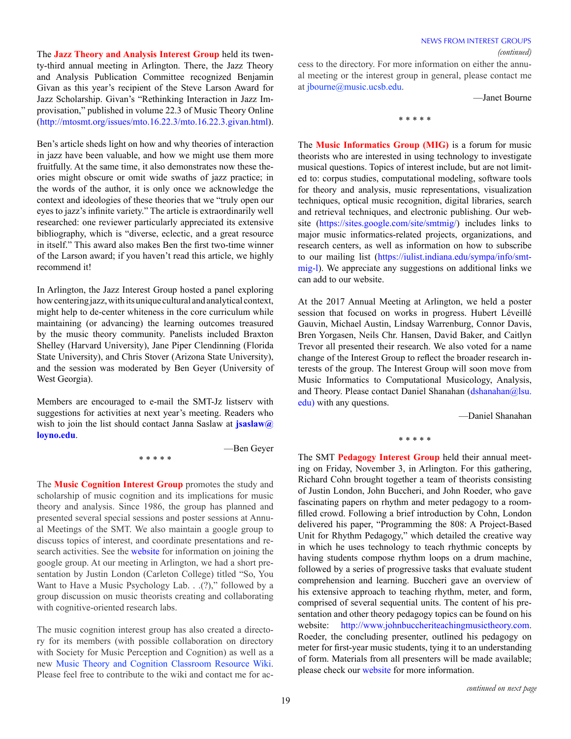The *(continued)* **Jazz Theory and Analysis Interest Group** held its twenty-third annual meeting in Arlington. There, the Jazz Theory and Analysis Publication Committee recognized Benjamin Givan as this year's recipient of the Steve Larson Award for Jazz Scholarship. Givan's "Rethinking Interaction in Jazz Improvisation," published in volume 22.3 of Music Theory Online ([http://mtosmt.org/issues/mto.16.22.3/mto.16.22.3.givan.html\)](http://mtosmt.org/issues/mto.16.22.3/mto.16.22.3.givan.html).

Ben's article sheds light on how and why theories of interaction in jazz have been valuable, and how we might use them more fruitfully. At the same time, it also demonstrates now these theories might obscure or omit wide swaths of jazz practice; in the words of the author, it is only once we acknowledge the context and ideologies of these theories that we "truly open our eyes to jazz's infinite variety." The article is extraordinarily well researched: one reviewer particularly appreciated its extensive bibliography, which is "diverse, eclectic, and a great resource in itself." This award also makes Ben the first two-time winner of the Larson award; if you haven't read this article, we highly recommend it!

In Arlington, the Jazz Interest Group hosted a panel exploring how centering jazz, with its unique cultural and analytical context, might help to de-center whiteness in the core curriculum while maintaining (or advancing) the learning outcomes treasured by the music theory community. Panelists included Braxton Shelley (Harvard University), Jane Piper Clendinning (Florida State University), and Chris Stover (Arizona State University), and the session was moderated by Ben Geyer (University of West Georgia).

Members are encouraged to e-mail the SMT-Jz listserv with suggestions for activities at next year's meeting. Readers who wish to join the list should contact Janna Saslaw at **jsaslaw**@ **[loyno.edu](mailto:jsaslaw@loyno.edu)**.

\* \* \* \* \*

—Ben Geyer

The **Music Cognition Interest Group** promotes the study and scholarship of music cognition and its implications for music theory and analysis. Since 1986, the group has planned and presented several special sessions and poster sessions at Annual Meetings of the SMT. We also maintain a google group to discuss topics of interest, and coordinate presentations and research activities. See the [website](https://societymusictheory.org/societies/interest/cognition) for information on joining the google group. At our meeting in Arlington, we had a short presentation by Justin London (Carleton College) titled "So, You Want to Have a Music Psychology Lab. . .(?)," followed by a group discussion on music theorists creating and collaborating with cognitive-oriented research labs.

The music cognition interest group has also created a directory for its members (with possible collaboration on directory with Society for Music Perception and Cognition) as well as a new [Music Theory and Cognition Classroom Resource Wiki.](http://musictheorycognitionclassroom.wikia.com/wiki/Music_Theory_and_Cognition_Classroom_Resource_Wiki) Please feel free to contribute to the wiki and contact me for access to the directory. For more information on either the annual meeting or the interest group in general, please contact me at [jbourne@music.ucsb.edu.](mailto:jbourne@music.ucsb.edu)

—Janet Bourne

\* \* \* \* \*

The **Music Informatics Group (MIG)** is a forum for music theorists who are interested in using technology to investigate musical questions. Topics of interest include, but are not limited to: corpus studies, computational modeling, software tools for theory and analysis, music representations, visualization techniques, optical music recognition, digital libraries, search and retrieval techniques, and electronic publishing. Our website [\(https://sites.google.com/site/smtmig/\)](https://sites.google.com/site/smtmig/) includes links to major music informatics-related projects, organizations, and research centers, as well as information on how to subscribe to our mailing list [\(https://iulist.indiana.edu/sympa/info/smt](https://iulist.indiana.edu/sympa/info/smtmig-l)[mig-l](https://iulist.indiana.edu/sympa/info/smtmig-l)). We appreciate any suggestions on additional links we can add to our website.

At the 2017 Annual Meeting at Arlington, we held a poster session that focused on works in progress. Hubert Léveillé Gauvin, Michael Austin, Lindsay Warrenburg, Connor Davis, Bren Yorgasen, Neils Chr. Hansen, David Baker, and Caitlyn Trevor all presented their research. We also voted for a name change of the Interest Group to reflect the broader research interests of the group. The Interest Group will soon move from Music Informatics to Computational Musicology, Analysis, and Theory. Please contact Daniel Shanahan ([dshanahan@lsu.](mailto:dshanahan@lsu.edu)) [edu\)](mailto:dshanahan@lsu.edu)) with any questions.

—Daniel Shanahan

\* \* \* \* \*

The SMT **Pedagogy Interest Group** held their annual meeting on Friday, November 3, in Arlington. For this gathering, Richard Cohn brought together a team of theorists consisting of Justin London, John Buccheri, and John Roeder, who gave fascinating papers on rhythm and meter pedagogy to a roomfilled crowd. Following a brief introduction by Cohn, London delivered his paper, "Programming the 808: A Project-Based Unit for Rhythm Pedagogy," which detailed the creative way in which he uses technology to teach rhythmic concepts by having students compose rhythm loops on a drum machine, followed by a series of progressive tasks that evaluate student comprehension and learning. Buccheri gave an overview of his extensive approach to teaching rhythm, meter, and form, comprised of several sequential units. The content of his presentation and other theory pedagogy topics can be found on his website: [http://www.johnbuccheriteachingmusictheory.com.](http://www.johnbuccheriteachingmusictheory.com) Roeder, the concluding presenter, outlined his pedagogy on meter for first-year music students, tying it to an understanding of form. Materials from all presenters will be made available; please check our [website](https://societymusictheory.org/societies/interest/pedagogy) for more information.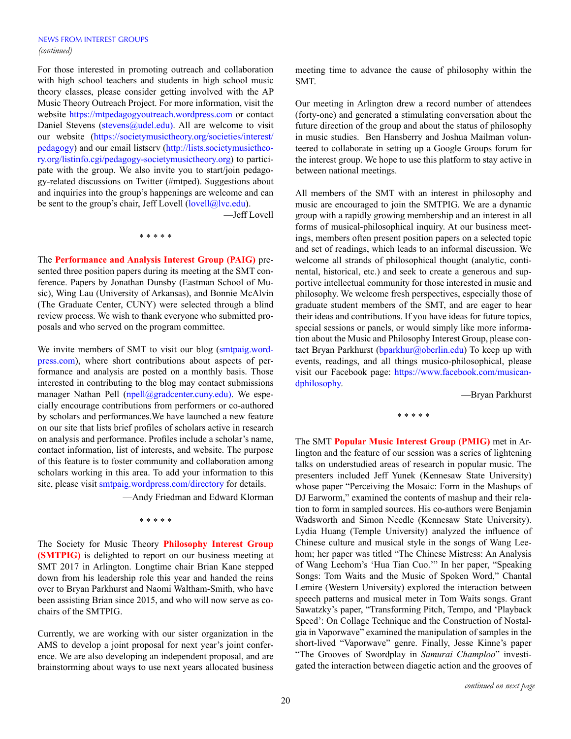For those interested in promoting outreach and collaboration with high school teachers and students in high school music theory classes, please consider getting involved with the AP Music Theory Outreach Project. For more information, visit the website <https://mtpedagogyoutreach.wordpress.com> or contact Daniel Stevens [\(stevens@udel.edu\)](mailto:stevens@udel.edu)). All are welcome to visit our website ([https://societymusictheory.org/societies/interest/](https://societymusictheory.org/societies/interest/pedagogy) [pedagogy](https://societymusictheory.org/societies/interest/pedagogy)) and our email listserv [\(http://lists.societymusictheo](http://lists.societymusictheory.org/listinfo.cgi/pedagogy-societymusictheory.org)[ry.org/listinfo.cgi/pedagogy-societymusictheory.org](http://lists.societymusictheory.org/listinfo.cgi/pedagogy-societymusictheory.org)) to participate with the group. We also invite you to start/join pedagogy-related discussions on Twitter (#mtped). Suggestions about and inquiries into the group's happenings are welcome and can be sent to the group's chair, Jeff Lovell  $(\text{level}(\text{Q}|\text{vc.edu}).$ 

—Jeff Lovell

\* \* \* \* \*

The **Performance and Analysis Interest Group (PAIG)** presented three position papers during its meeting at the SMT conference. Papers by Jonathan Dunsby (Eastman School of Music), Wing Lau (University of Arkansas), and Bonnie McAlvin (The Graduate Center, CUNY) were selected through a blind review process. We wish to thank everyone who submitted proposals and who served on the program committee.

We invite members of SMT to visit our blog [\(smtpaig.word](http://smtpaig.wordpress.com/)[press.com\)](http://smtpaig.wordpress.com/), where short contributions about aspects of performance and analysis are posted on a monthly basis. Those interested in contributing to the blog may contact submissions manager Nathan Pell ([npell@gradcenter.cuny.edu\)](mailto:npell@gradcenter.cuny.edu)). We especially encourage contributions from performers or co-authored by scholars and performances.We have launched a new feature on our site that lists brief profiles of scholars active in research on analysis and performance. Profiles include a scholar's name, contact information, list of interests, and website. The purpose of this feature is to foster community and collaboration among scholars working in this area. To add your information to this site, please visit [smtpaig.wordpress.com/directory](http://smtpaig.wordpress.com/directory) for details.

—Andy Friedman and Edward Klorman

\* \* \* \* \*

The Society for Music Theory **Philosophy Interest Group (SMTPIG)** is delighted to report on our business meeting at SMT 2017 in Arlington. Longtime chair Brian Kane stepped down from his leadership role this year and handed the reins over to Bryan Parkhurst and Naomi Waltham-Smith, who have been assisting Brian since 2015, and who will now serve as cochairs of the SMTPIG.

Currently, we are working with our sister organization in the AMS to develop a joint proposal for next year's joint conference. We are also developing an independent proposal, and are brainstorming about ways to use next years allocated business meeting time to advance the cause of philosophy within the SMT.

Our meeting in Arlington drew a record number of attendees (forty-one) and generated a stimulating conversation about the future direction of the group and about the status of philosophy in music studies. Ben Hansberry and Joshua Mailman volunteered to collaborate in setting up a Google Groups forum for the interest group. We hope to use this platform to stay active in between national meetings.

All members of the SMT with an interest in philosophy and music are encouraged to join the SMTPIG. We are a dynamic group with a rapidly growing membership and an interest in all forms of musical-philosophical inquiry. At our business meetings, members often present position papers on a selected topic and set of readings, which leads to an informal discussion. We welcome all strands of philosophical thought (analytic, continental, historical, etc.) and seek to create a generous and supportive intellectual community for those interested in music and philosophy. We welcome fresh perspectives, especially those of graduate student members of the SMT, and are eager to hear their ideas and contributions. If you have ideas for future topics, special sessions or panels, or would simply like more information about the Music and Philosophy Interest Group, please contact Bryan Parkhurst ([bparkhur@oberlin.edu](mailto:bparkhur@oberlin.edu)) To keep up with events, readings, and all things musico-philosophical, please visit our Facebook page: [https://www.facebook.com/musican](https://www.facebook.com/musicandphilosophy)[dphilosophy.](https://www.facebook.com/musicandphilosophy)

—Bryan Parkhurst

\* \* \* \* \*

The SMT **Popular Music Interest Group (PMIG)** met in Arlington and the feature of our session was a series of lightening talks on understudied areas of research in popular music. The presenters included Jeff Yunek (Kennesaw State University) whose paper "Perceiving the Mosaic: Form in the Mashups of DJ Earworm," examined the contents of mashup and their relation to form in sampled sources. His co-authors were Benjamin Wadsworth and Simon Needle (Kennesaw State University). Lydia Huang (Temple University) analyzed the influence of Chinese culture and musical style in the songs of Wang Leehom; her paper was titled "The Chinese Mistress: An Analysis of Wang Leehom's 'Hua Tian Cuo.'" In her paper, "Speaking Songs: Tom Waits and the Music of Spoken Word," Chantal Lemire (Western University) explored the interaction between speech patterns and musical meter in Tom Waits songs. Grant Sawatzky's paper, "Transforming Pitch, Tempo, and 'Playback Speed': On Collage Technique and the Construction of Nostalgia in Vaporwave" examined the manipulation of samples in the short-lived "Vaporwave" genre. Finally, Jesse Kinne's paper "The Grooves of Swordplay in *Samurai Champloo*" investigated the interaction between diagetic action and the grooves of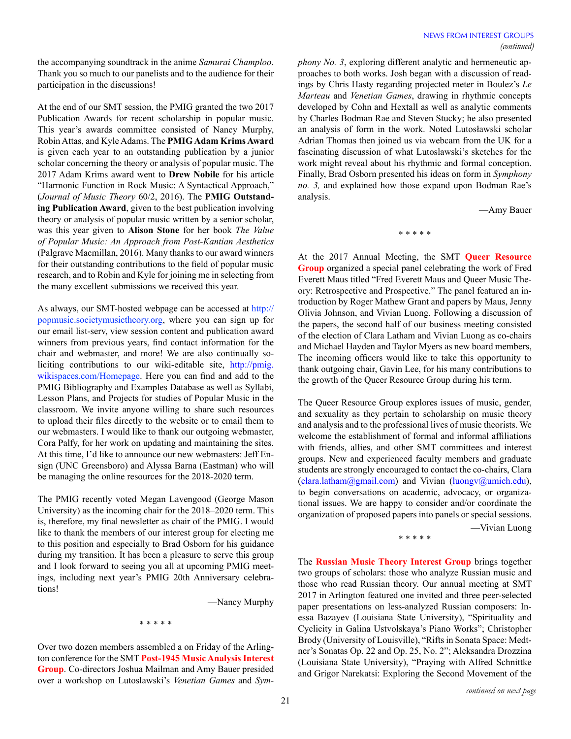the accompanying soundtrack in the anime *Samurai Champloo*. Thank you so much to our panelists and to the audience for their participation in the discussions!

At the end of our SMT session, the PMIG granted the two 2017 Publication Awards for recent scholarship in popular music. This year's awards committee consisted of Nancy Murphy, Robin Attas, and Kyle Adams. The **PMIG Adam Krims Award** is given each year to an outstanding publication by a junior scholar concerning the theory or analysis of popular music. The 2017 Adam Krims award went to **Drew Nobile** for his article "Harmonic Function in Rock Music: A Syntactical Approach," (*Journal of Music Theory* 60/2, 2016). The **PMIG Outstanding Publication Award**, given to the best publication involving theory or analysis of popular music written by a senior scholar, was this year given to **Alison Stone** for her book *The Value of Popular Music: An Approach from Post-Kantian Aesthetics*  (Palgrave Macmillan, 2016). Many thanks to our award winners for their outstanding contributions to the field of popular music research, and to Robin and Kyle for joining me in selecting from the many excellent submissions we received this year.

As always, our SMT-hosted webpage can be accessed at [http://](http://popmusic.societymusictheory.org) [popmusic.societymusictheory.org](http://popmusic.societymusictheory.org), where you can sign up for our email list-serv, view session content and publication award winners from previous years, find contact information for the chair and webmaster, and more! We are also continually soliciting contributions to our wiki-editable site, [http://pmig.](http://pmig.wikispaces.com/Homepage) [wikispaces.com/Homepage](http://pmig.wikispaces.com/Homepage). Here you can find and add to the PMIG Bibliography and Examples Database as well as Syllabi, Lesson Plans, and Projects for studies of Popular Music in the classroom. We invite anyone willing to share such resources to upload their files directly to the website or to email them to our webmasters. I would like to thank our outgoing webmaster, Cora Palfy, for her work on updating and maintaining the sites. At this time, I'd like to announce our new webmasters: Jeff Ensign (UNC Greensboro) and Alyssa Barna (Eastman) who will be managing the online resources for the 2018-2020 term.

The PMIG recently voted Megan Lavengood (George Mason University) as the incoming chair for the 2018–2020 term. This is, therefore, my final newsletter as chair of the PMIG. I would like to thank the members of our interest group for electing me to this position and especially to Brad Osborn for his guidance during my transition. It has been a pleasure to serve this group and I look forward to seeing you all at upcoming PMIG meetings, including next year's PMIG 20th Anniversary celebrations!

—Nancy Murphy

\* \* \* \* \*

Over two dozen members assembled a on Friday of the Arlington conference for the SMT **Post-1945 Music Analysis Interest Group**. Co-directors Joshua Mailman and Amy Bauer presided over a workshop on Lutoslawski's *Venetian Games* and *Sym-* *phony No. 3*, exploring different analytic and hermeneutic approaches to both works. Josh began with a discussion of readings by Chris Hasty regarding projected meter in Boulez's *Le Marteau* and *Venetian Games*, drawing in rhythmic concepts developed by Cohn and Hextall as well as analytic comments by Charles Bodman Rae and Steven Stucky; he also presented an analysis of form in the work. Noted Lutosławski scholar Adrian Thomas then joined us via webcam from the UK for a fascinating discussion of what Lutosławski's sketches for the work might reveal about his rhythmic and formal conception. Finally, Brad Osborn presented his ideas on form in *Symphony no. 3,* and explained how those expand upon Bodman Rae's analysis.

—Amy Bauer

\* \* \* \* \*

At the 2017 Annual Meeting, the SMT **Queer Resource Group** organized a special panel celebrating the work of Fred Everett Maus titled "Fred Everett Maus and Queer Music Theory: Retrospective and Prospective." The panel featured an introduction by Roger Mathew Grant and papers by Maus, Jenny Olivia Johnson, and Vivian Luong. Following a discussion of the papers, the second half of our business meeting consisted of the election of Clara Latham and Vivian Luong as co-chairs and Michael Hayden and Taylor Myers as new board members, The incoming officers would like to take this opportunity to thank outgoing chair, Gavin Lee, for his many contributions to the growth of the Queer Resource Group during his term.

The Queer Resource Group explores issues of music, gender, and sexuality as they pertain to scholarship on music theory and analysis and to the professional lives of music theorists. We welcome the establishment of formal and informal affiliations with friends, allies, and other SMT committees and interest groups. New and experienced faculty members and graduate students are strongly encouraged to contact the co-chairs, Clara [\(clara.latham@gmail.com\)](mailto:clara.latham@gmail.com) and Vivian [\(luongv@umich.edu](mailto:luongv@umich.edu)), to begin conversations on academic, advocacy, or organizational issues. We are happy to consider and/or coordinate the organization of proposed papers into panels or special sessions.

\* \* \* \* \*

—Vivian Luong

The **Russian Music Theory Interest Group** brings together two groups of scholars: those who analyze Russian music and those who read Russian theory. Our annual meeting at SMT 2017 in Arlington featured one invited and three peer-selected paper presentations on less-analyzed Russian composers: Inessa Bazayev (Louisiana State University), "Spirituality and Cyclicity in Galina Ustvolskaya's Piano Works"; Christopher Brody (University of Louisville), "Rifts in Sonata Space: Medtner's Sonatas Op. 22 and Op. 25, No. 2"; Aleksandra Drozzina (Louisiana State University), "Praying with Alfred Schnittke and Grigor Narekatsi: Exploring the Second Movement of the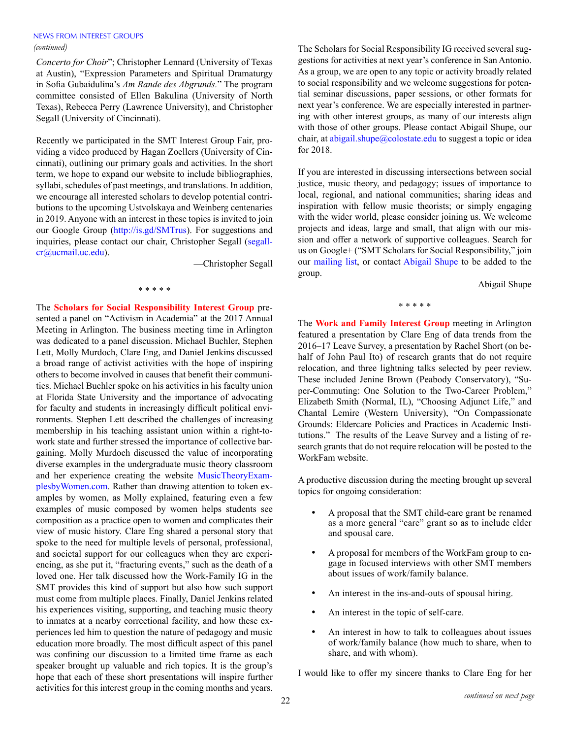# NEWS FROM INTEREST GROUPS

*Concerto for Choir*"; Christopher Lennard (University of Texas at Austin), "Expression Parameters and Spiritual Dramaturgy in Sofia Gubaidulina's *Am Rande des Abgrunds.*" The program committee consisted of Ellen Bakulina (University of North Texas), Rebecca Perry (Lawrence University), and Christopher Segall (University of Cincinnati).

Recently we participated in the SMT Interest Group Fair, providing a video produced by Hagan Zoellers (University of Cincinnati), outlining our primary goals and activities. In the short term, we hope to expand our website to include bibliographies, syllabi, schedules of past meetings, and translations. In addition, we encourage all interested scholars to develop potential contributions to the upcoming Ustvolskaya and Weinberg centenaries in 2019. Anyone with an interest in these topics is invited to join our Google Group (<http://is.gd/SMTrus>). For suggestions and inquiries, please contact our chair, Christopher Segall ([segall](mailto:segallcr%40ucmail.uc.edu?subject=)[cr@ucmail.uc.edu\)](mailto:segallcr%40ucmail.uc.edu?subject=).

—Christopher Segall

#### \* \* \* \* \*

The **Scholars for Social Responsibility Interest Group** presented a panel on "Activism in Academia" at the 2017 Annual Meeting in Arlington. The business meeting time in Arlington was dedicated to a panel discussion. Michael Buchler, Stephen Lett, Molly Murdoch, Clare Eng, and Daniel Jenkins discussed a broad range of activist activities with the hope of inspiring others to become involved in causes that benefit their communities. Michael Buchler spoke on his activities in his faculty union at Florida State University and the importance of advocating for faculty and students in increasingly difficult political environments. Stephen Lett described the challenges of increasing membership in his teaching assistant union within a right-towork state and further stressed the importance of collective bargaining. Molly Murdoch discussed the value of incorporating diverse examples in the undergraduate music theory classroom and her experience creating the website [MusicTheoryExam](http://musictheoryexamplesbywomen.com/)[plesbyWomen.com](http://musictheoryexamplesbywomen.com/). Rather than drawing attention to token examples by women, as Molly explained, featuring even a few examples of music composed by women helps students see composition as a practice open to women and complicates their view of music history. Clare Eng shared a personal story that spoke to the need for multiple levels of personal, professional, and societal support for our colleagues when they are experiencing, as she put it, "fracturing events," such as the death of a loved one. Her talk discussed how the Work-Family IG in the SMT provides this kind of support but also how such support must come from multiple places. Finally, Daniel Jenkins related his experiences visiting, supporting, and teaching music theory to inmates at a nearby correctional facility, and how these experiences led him to question the nature of pedagogy and music education more broadly. The most difficult aspect of this panel was confining our discussion to a limited time frame as each speaker brought up valuable and rich topics. It is the group's hope that each of these short presentations will inspire further activities for this interest group in the coming months and years.

*(continued)* The Scholars for Social Responsibility IG received several suggestions for activities at next year's conference in San Antonio. As a group, we are open to any topic or activity broadly related to social responsibility and we welcome suggestions for potential seminar discussions, paper sessions, or other formats for next year's conference. We are especially interested in partnering with other interest groups, as many of our interests align with those of other groups. Please contact Abigail Shupe, our chair, at [abigail.shupe@colostate.edu](mailto:abigail.shupe@colostate.edu) to suggest a topic or idea for 2018.

> If you are interested in discussing intersections between social justice, music theory, and pedagogy; issues of importance to local, regional, and national communities; sharing ideas and inspiration with fellow music theorists; or simply engaging with the wider world, please consider joining us. We welcome projects and ideas, large and small, that align with our mission and offer a network of supportive colleagues. Search for us on Google+ ("SMT Scholars for Social Responsibility," join our [mailing list,](http://lists.societymusictheory.org/listinfo.cgi/socialrespons-societymusictheory.org) or contact [Abigail Shupe](mailto:abigail.shupe%40colostate.edu?subject=) to be added to the group.

> > —Abigail Shupe

\* \* \* \* \*

The **Work and Family Interest Group** meeting in Arlington featured a presentation by Clare Eng of data trends from the 2016–17 Leave Survey, a presentation by Rachel Short (on behalf of John Paul Ito) of research grants that do not require relocation, and three lightning talks selected by peer review. These included Jenine Brown (Peabody Conservatory), "Super-Commuting: One Solution to the Two-Career Problem," Elizabeth Smith (Normal, IL), "Choosing Adjunct Life," and Chantal Lemire (Western University), "On Compassionate Grounds: Eldercare Policies and Practices in Academic Institutions." The results of the Leave Survey and a listing of research grants that do not require relocation will be posted to the WorkFam website.

A productive discussion during the meeting brought up several topics for ongoing consideration:

- A proposal that the SMT child-care grant be renamed as a more general "care" grant so as to include elder and spousal care.
- A proposal for members of the WorkFam group to engage in focused interviews with other SMT members about issues of work/family balance.
- An interest in the ins-and-outs of spousal hiring.
- An interest in the topic of self-care.
- An interest in how to talk to colleagues about issues of work/family balance (how much to share, when to share, and with whom).

I would like to offer my sincere thanks to Clare Eng for her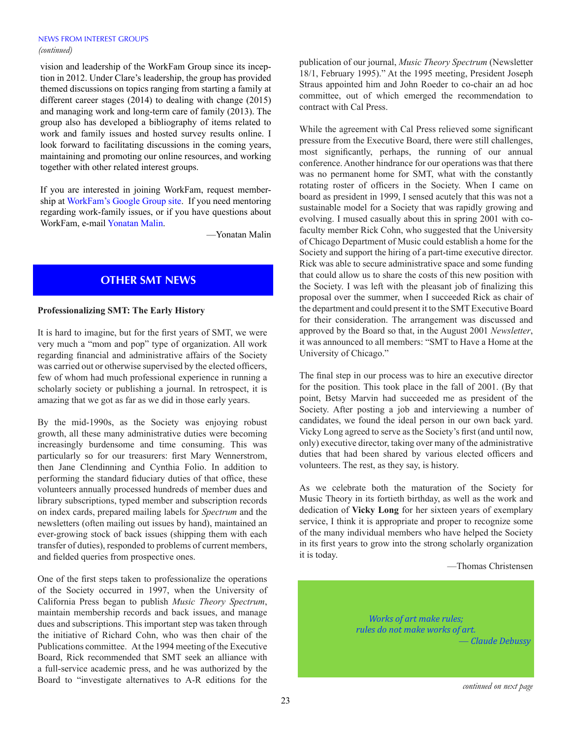vision and leadership of the WorkFam Group since its inception in 2012. Under Clare's leadership, the group has provided themed discussions on topics ranging from starting a family at different career stages (2014) to dealing with change (2015) and managing work and long-term care of family (2013). The group also has developed a bibliography of items related to work and family issues and hosted survey results online. I look forward to facilitating discussions in the coming years, maintaining and promoting our online resources, and working together with other related interest groups.

If you are interested in joining WorkFam, request membership at [WorkFam's Google Group site](http://groups.google.com/group/smtworkfam?hl=en). If you need mentoring regarding work-family issues, or if you have questions about WorkFam, e-mail [Yonatan Malin.](mailto:yonatan.malin@colorado.edu)

—Yonatan Malin

# **OTHER SMT NEWS**

### **Professionalizing SMT: The Early History**

It is hard to imagine, but for the first years of SMT, we were very much a "mom and pop" type of organization. All work regarding financial and administrative affairs of the Society was carried out or otherwise supervised by the elected officers, few of whom had much professional experience in running a scholarly society or publishing a journal. In retrospect, it is amazing that we got as far as we did in those early years.

By the mid-1990s, as the Society was enjoying robust growth, all these many administrative duties were becoming increasingly burdensome and time consuming. This was particularly so for our treasurers: first Mary Wennerstrom, then Jane Clendinning and Cynthia Folio. In addition to performing the standard fiduciary duties of that office, these volunteers annually processed hundreds of member dues and library subscriptions, typed member and subscription records on index cards, prepared mailing labels for *Spectrum* and the newsletters (often mailing out issues by hand), maintained an ever-growing stock of back issues (shipping them with each transfer of duties), responded to problems of current members, and fielded queries from prospective ones.

One of the first steps taken to professionalize the operations of the Society occurred in 1997, when the University of California Press began to publish *Music Theory Spectrum*, maintain membership records and back issues, and manage dues and subscriptions. This important step was taken through the initiative of Richard Cohn, who was then chair of the Publications committee. At the 1994 meeting of the Executive Board, Rick recommended that SMT seek an alliance with a full-service academic press, and he was authorized by the Board to "investigate alternatives to A-R editions for the publication of our journal, *Music Theory Spectrum* (Newsletter 18/1, February 1995)." At the 1995 meeting, President Joseph Straus appointed him and John Roeder to co-chair an ad hoc committee, out of which emerged the recommendation to contract with Cal Press.

While the agreement with Cal Press relieved some significant pressure from the Executive Board, there were still challenges, most significantly, perhaps, the running of our annual conference. Another hindrance for our operations was that there was no permanent home for SMT, what with the constantly rotating roster of officers in the Society. When I came on board as president in 1999, I sensed acutely that this was not a sustainable model for a Society that was rapidly growing and evolving. I mused casually about this in spring 2001 with cofaculty member Rick Cohn, who suggested that the University of Chicago Department of Music could establish a home for the Society and support the hiring of a part-time executive director. Rick was able to secure administrative space and some funding that could allow us to share the costs of this new position with the Society. I was left with the pleasant job of finalizing this proposal over the summer, when I succeeded Rick as chair of the department and could present it to the SMT Executive Board for their consideration. The arrangement was discussed and approved by the Board so that, in the August 2001 *Newsletter*, it was announced to all members: "SMT to Have a Home at the University of Chicago."

The final step in our process was to hire an executive director for the position. This took place in the fall of 2001. (By that point, Betsy Marvin had succeeded me as president of the Society. After posting a job and interviewing a number of candidates, we found the ideal person in our own back yard. Vicky Long agreed to serve as the Society's first (and until now, only) executive director, taking over many of the administrative duties that had been shared by various elected officers and volunteers. The rest, as they say, is history.

As we celebrate both the maturation of the Society for Music Theory in its fortieth birthday, as well as the work and dedication of **Vicky Long** for her sixteen years of exemplary service, I think it is appropriate and proper to recognize some of the many individual members who have helped the Society in its first years to grow into the strong scholarly organization it is today.

—Thomas Christensen



*continued on next page*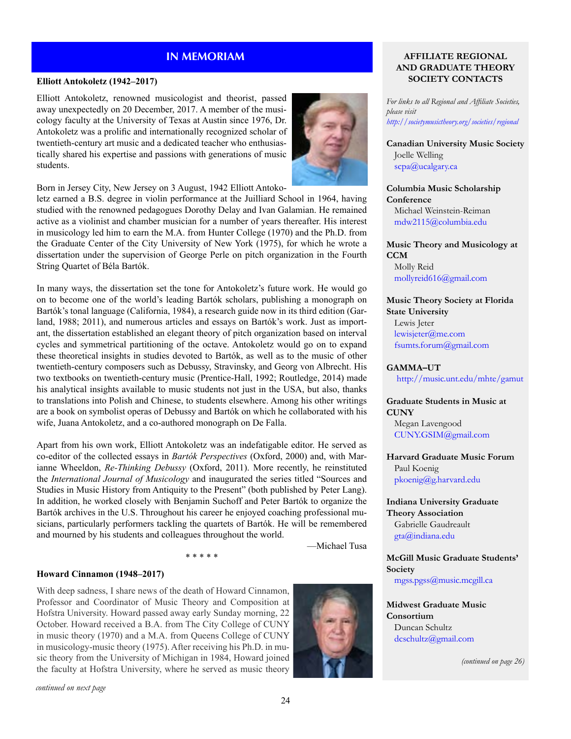### **Elliott Antokoletz (1942–2017)**

Elliott Antokoletz, renowned musicologist and theorist, passed away unexpectedly on 20 December, 2017. A member of the musicology faculty at the University of Texas at Austin since 1976, Dr. Antokoletz was a prolific and internationally recognized scholar of twentieth-century art music and a dedicated teacher who enthusiastically shared his expertise and passions with generations of music students.



Born in Jersey City, New Jersey on 3 August, 1942 Elliott Antoko-

letz earned a B.S. degree in violin performance at the Juilliard School in 1964, having studied with the renowned pedagogues Dorothy Delay and Ivan Galamian. He remained active as a violinist and chamber musician for a number of years thereafter. His interest in musicology led him to earn the M.A. from Hunter College (1970) and the Ph.D. from the Graduate Center of the City University of New York (1975), for which he wrote a dissertation under the supervision of George Perle on pitch organization in the Fourth String Quartet of Béla Bartók.

In many ways, the dissertation set the tone for Antokoletz's future work. He would go on to become one of the world's leading Bartók scholars, publishing a monograph on Bartók's tonal language (California, 1984), a research guide now in its third edition (Garland, 1988; 2011), and numerous articles and essays on Bartók's work. Just as important, the dissertation established an elegant theory of pitch organization based on interval cycles and symmetrical partitioning of the octave. Antokoletz would go on to expand these theoretical insights in studies devoted to Bartók, as well as to the music of other twentieth-century composers such as Debussy, Stravinsky, and Georg von Albrecht. His two textbooks on twentieth-century music (Prentice-Hall, 1992; Routledge, 2014) made his analytical insights available to music students not just in the USA, but also, thanks to translations into Polish and Chinese, to students elsewhere. Among his other writings are a book on symbolist operas of Debussy and Bartók on which he collaborated with his wife, Juana Antokoletz, and a co-authored monograph on De Falla.

Apart from his own work, Elliott Antokoletz was an indefatigable editor. He served as co-editor of the collected essays in *Bartók Perspectives* (Oxford, 2000) and, with Marianne Wheeldon, *Re-Thinking Debussy* (Oxford, 2011). More recently, he reinstituted the *International Journal of Musicology* and inaugurated the series titled "Sources and Studies in Music History from Antiquity to the Present" (both published by Peter Lang). In addition, he worked closely with Benjamin Suchoff and Peter Bartók to organize the Bartók archives in the U.S. Throughout his career he enjoyed coaching professional musicians, particularly performers tackling the quartets of Bartók. He will be remembered and mourned by his students and colleagues throughout the world.

\* \* \* \* \*

—Michael Tusa

#### **Howard Cinnamon (1948–2017)**

With deep sadness, I share news of the death of Howard Cinnamon, Professor and Coordinator of Music Theory and Composition at Hofstra University. Howard passed away early Sunday morning, 22 October. Howard received a B.A. from The City College of CUNY in music theory (1970) and a M.A. from Queens College of CUNY in musicology-music theory (1975). After receiving his Ph.D. in music theory from the University of Michigan in 1984, Howard joined the faculty at Hofstra University, where he served as music theory



# **IN MEMORIAM AFFILIATE REGIONAL AND GRADUATE THEORY SOCIETY CONTACTS**

*For links to all Regional and Affiliate Societies, please visit <http://societymusictheory.org/societies/regional>*

**Canadian University Music Society** Joelle Welling [scpa@ucalgary.ca](mailto:scpa%40ucalgary.ca?subject=) 

**Columbia Music Scholarship Conference**

Michael Weinstein-Reiman [mdw2115@columbia.edu](mailto:mdw2115%40columbia.edu?subject=)

**Music Theory and Musicology at CCM** Molly Reid

[mollyreid616@gmail.com](mailto:mollyreid616%40gmail.com?subject=)

**Music Theory Society at Florida State University** Lewis Jeter

[lewisjeter@me.com](mailto:lewisjeter%40me.com?subject=) [fsumts.forum@gmail.com](mailto:fsumts.forum%40gmail.com?subject=)

**GAMMA–UT**

<http://music.unt.edu/mhte/gamut>

#### **Graduate Students in Music at CUNY**

Megan Lavengood [CUNY.GSIM@gmail.com](mailto:CUNY.GSIM%40gmail.com?subject=)

#### **Harvard Graduate Music Forum** Paul Koenig

[pkoenig@g.harvard.edu](mailto:pkoenig%40g.harvard.edu?subject=)

### **Indiana University Graduate Theory Association** Gabrielle Gaudreault [gta@indiana.edu](mailto:gta%40indiana.edu?subject=)

**McGill Music Graduate Students' Society**

[mgss.pgss@music.mcgill.ca](mailto:mgss.pgss%40music.mcgill.ca%20?subject=)

**Midwest Graduate Music Consortium** Duncan Schultz [dcschultz@gmail.com](mailto:dcschultz%40gmail.com?subject=)

*(continued on page 26)*

*continued on next page*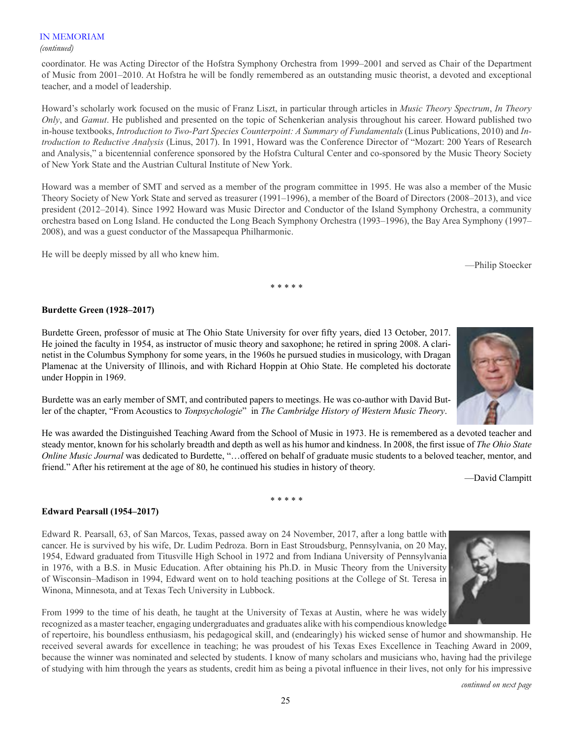### IN MEMORIAM

#### *(continued)*

coordinator. He was Acting Director of the Hofstra Symphony Orchestra from 1999–2001 and served as Chair of the Department of Music from 2001–2010. At Hofstra he will be fondly remembered as an outstanding music theorist, a devoted and exceptional teacher, and a model of leadership.

Howard's scholarly work focused on the music of Franz Liszt, in particular through articles in *Music Theory Spectrum*, *In Theory Only*, and *Gamut*. He published and presented on the topic of Schenkerian analysis throughout his career. Howard published two in-house textbooks, *Introduction to Two-Part Species Counterpoint: A Summary of Fundamentals* (Linus Publications, 2010) and *Introduction to Reductive Analysis* (Linus, 2017). In 1991, Howard was the Conference Director of "Mozart: 200 Years of Research and Analysis," a bicentennial conference sponsored by the Hofstra Cultural Center and co-sponsored by the Music Theory Society of New York State and the Austrian Cultural Institute of New York.

Howard was a member of SMT and served as a member of the program committee in 1995. He was also a member of the Music Theory Society of New York State and served as treasurer (1991–1996), a member of the Board of Directors (2008–2013), and vice president (2012–2014). Since 1992 Howard was Music Director and Conductor of the Island Symphony Orchestra, a community orchestra based on Long Island. He conducted the Long Beach Symphony Orchestra (1993–1996), the Bay Area Symphony (1997– 2008), and was a guest conductor of the Massapequa Philharmonic.

He will be deeply missed by all who knew him.

—Philip Stoecker

#### \* \* \* \* \*

# **Burdette Green (1928–2017)**

Burdette Green, professor of music at The Ohio State University for over fifty years, died 13 October, 2017. He joined the faculty in 1954, as instructor of music theory and saxophone; he retired in spring 2008. A clarinetist in the Columbus Symphony for some years, in the 1960s he pursued studies in musicology, with Dragan Plamenac at the University of Illinois, and with Richard Hoppin at Ohio State. He completed his doctorate under Hoppin in 1969.

Burdette was an early member of SMT, and contributed papers to meetings. He was co-author with David Butler of the chapter, "From Acoustics to *Tonpsychologie*" in *The Cambridge History of Western Music Theory*.

He was awarded the Distinguished Teaching Award from the School of Music in 1973. He is remembered as a devoted teacher and steady mentor, known for his scholarly breadth and depth as well as his humor and kindness. In 2008, the first issue of *The Ohio State Online Music Journal* was dedicated to Burdette, "…offered on behalf of graduate music students to a beloved teacher, mentor, and friend." After his retirement at the age of 80, he continued his studies in history of theory.

—David Clampitt

\* \* \* \* \*

## **Edward Pearsall (1954–2017)**

Edward R. Pearsall, 63, of San Marcos, Texas, passed away on 24 November, 2017, after a long battle with cancer. He is survived by his wife, Dr. Ludim Pedroza. Born in East Stroudsburg, Pennsylvania, on 20 May, 1954, Edward graduated from Titusville High School in 1972 and from Indiana University of Pennsylvania in 1976, with a B.S. in Music Education. After obtaining his Ph.D. in Music Theory from the University of Wisconsin–Madison in 1994, Edward went on to hold teaching positions at the College of St. Teresa in Winona, Minnesota, and at Texas Tech University in Lubbock.



of repertoire, his boundless enthusiasm, his pedagogical skill, and (endearingly) his wicked sense of humor and showmanship. He received several awards for excellence in teaching; he was proudest of his Texas Exes Excellence in Teaching Award in 2009, because the winner was nominated and selected by students. I know of many scholars and musicians who, having had the privilege of studying with him through the years as students, credit him as being a pivotal influence in their lives, not only for his impressive

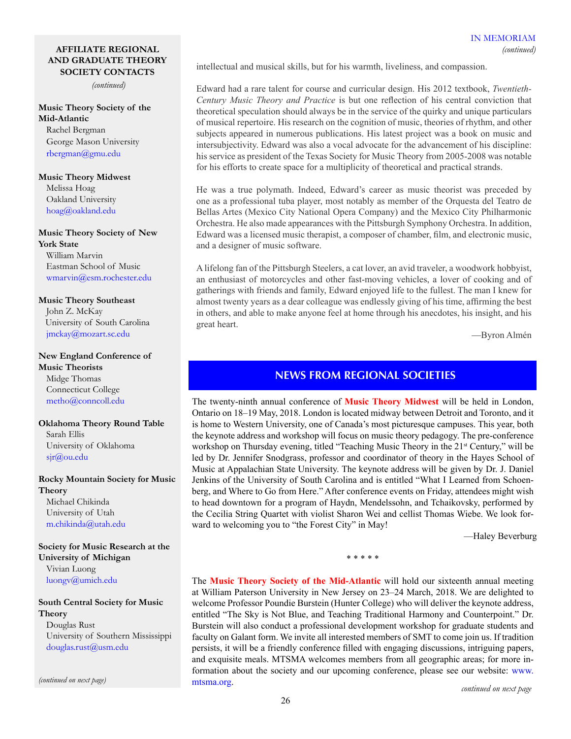#### **AFFILIATE REGIONAL AND GRADUATE THEORY SOCIETY CONTACTS**

*(continued)*

# **Music Theory Society of the Mid-Atlantic**

Rachel Bergman George Mason University [rbergman@gmu.edu](mailto:rbergman%40gmu.edu%20?subject=)

#### **Music Theory Midwest**

Melissa Hoag Oakland University [hoag@oakland.edu](mailto:hoag%40oakland.edu%20?subject=)

# **Music Theory Society of New**

**York State** William Marvin Eastman School of Music wmarvin[@esm.rochester.edu](mailto:jdunsby%40esm.rochester.edu%20?subject=)

## **Music Theory Southeast**

John Z. McKay University of South Carolina [jmckay@mozart.sc.edu](mailto:jmckay%40mozart.sc.edu?subject=)

# **New England Conference of**

**Music Theorists** Midge Thomas Connecticut College [metho@conncoll.edu](mailto:metho%40conncoll.edu?subject=)

## **Oklahoma Theory Round Table** Sarah Ellis University of Oklahoma sjr[@ou.edu](mailto:kstephenson%40ou.edu%20?subject=)

# **Rocky Mountain Society for Music Theory**

Michael Chikinda University of Utah [m.chikinda@utah.edu](mailto:m.chikinda%40utah.edu?subject=)

**Society for Music Research at the University of Michigan** Vivian Luong [luongv@umich.edu](mailto:luongv%40umich.edu?subject=)

## **South Central Society for Music Theory**

Douglas Rust University of Southern Mississippi douglas.rust@usm.edu

*(continued on next page)*

intellectual and musical skills, but for his warmth, liveliness, and compassion.

Edward had a rare talent for course and curricular design. His 2012 textbook, *Twentieth-Century Music Theory and Practice* is but one reflection of his central conviction that theoretical speculation should always be in the service of the quirky and unique particulars of musical repertoire. His research on the cognition of music, theories of rhythm, and other subjects appeared in numerous publications. His latest project was a book on music and intersubjectivity. Edward was also a vocal advocate for the advancement of his discipline: his service as president of the Texas Society for Music Theory from 2005-2008 was notable for his efforts to create space for a multiplicity of theoretical and practical strands.

He was a true polymath. Indeed, Edward's career as music theorist was preceded by one as a professional tuba player, most notably as member of the Orquesta del Teatro de Bellas Artes (Mexico City National Opera Company) and the Mexico City Philharmonic Orchestra. He also made appearances with the Pittsburgh Symphony Orchestra. In addition, Edward was a licensed music therapist, a composer of chamber, film, and electronic music, and a designer of music software.

A lifelong fan of the Pittsburgh Steelers, a cat lover, an avid traveler, a woodwork hobbyist, an enthusiast of motorcycles and other fast-moving vehicles, a lover of cooking and of gatherings with friends and family, Edward enjoyed life to the fullest. The man I knew for almost twenty years as a dear colleague was endlessly giving of his time, affirming the best in others, and able to make anyone feel at home through his anecdotes, his insight, and his great heart.

—Byron Almén

# **NEWS FROM REGIONAL SOCIETIES**

The twenty-ninth annual conference of **Music Theory Midwest** will be held in London, Ontario on 18–19 May, 2018. London is located midway between Detroit and Toronto, and it is home to Western University, one of Canada's most picturesque campuses. This year, both the keynote address and workshop will focus on music theory pedagogy. The pre-conference workshop on Thursday evening, titled "Teaching Music Theory in the 21<sup>st</sup> Century," will be led by Dr. Jennifer Snodgrass, professor and coordinator of theory in the Hayes School of Music at Appalachian State University. The keynote address will be given by Dr. J. Daniel Jenkins of the University of South Carolina and is entitled "What I Learned from Schoenberg, and Where to Go from Here." After conference events on Friday, attendees might wish to head downtown for a program of Haydn, Mendelssohn, and Tchaikovsky, performed by the Cecilia String Quartet with violist Sharon Wei and cellist Thomas Wiebe. We look forward to welcoming you to "the Forest City" in May!

—Haley Beverburg

\* \* \* \* \*

The **Music Theory Society of the Mid-Atlantic** will hold our sixteenth annual meeting at William Paterson University in New Jersey on 23–24 March, 2018. We are delighted to welcome Professor Poundie Burstein (Hunter College) who will deliver the keynote address, entitled "The Sky is Not Blue, and Teaching Traditional Harmony and Counterpoint." Dr. Burstein will also conduct a professional development workshop for graduate students and faculty on Galant form. We invite all interested members of SMT to come join us. If tradition persists, it will be a friendly conference filled with engaging discussions, intriguing papers, and exquisite meals. MTSMA welcomes members from all geographic areas; for more information about the society and our upcoming conference, please see our website: [www.](http://www.mtsma.org) [mtsma.org](http://www.mtsma.org). *continued on next page*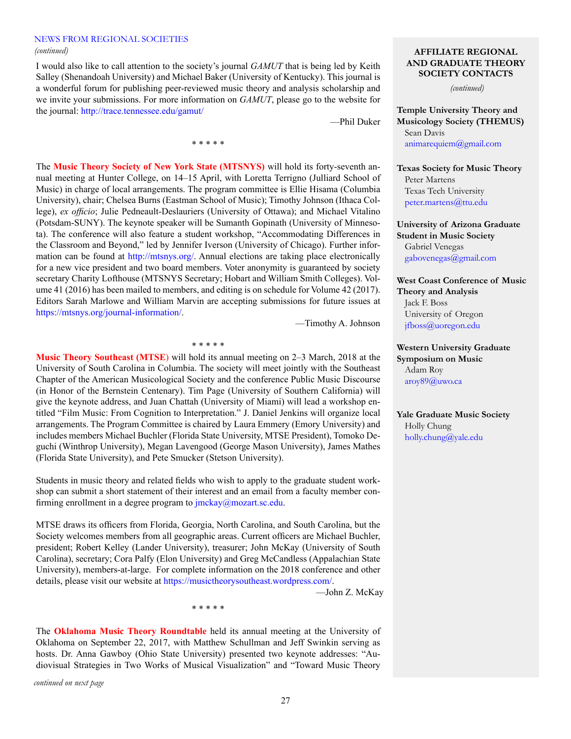#### NEWS FROM REGIONAL SOCIETIES *(continued)*

I would also like to call attention to the society's journal *GAMUT* that is being led by Keith Salley (Shenandoah University) and Michael Baker (University of Kentucky). This journal is a wonderful forum for publishing peer-reviewed music theory and analysis scholarship and we invite your submissions. For more information on *GAMUT*, please go to the website for the journal: <http://trace.tennessee.edu/gamut/>

\* \* \* \* \*

—Phil Duker

The **Music Theory Society of New York State (MTSNYS)** will hold its forty-seventh annual meeting at Hunter College, on 14–15 April, with Loretta Terrigno (Julliard School of Music) in charge of local arrangements. The program committee is Ellie Hisama (Columbia University), chair; Chelsea Burns (Eastman School of Music); Timothy Johnson (Ithaca College), *ex officio*; Julie Pedneault-Deslauriers (University of Ottawa); and Michael Vitalino (Potsdam-SUNY). The keynote speaker will be Sumanth Gopinath (University of Minnesota). The conference will also feature a student workshop, "Accommodating Differences in the Classroom and Beyond," led by Jennifer Iverson (University of Chicago). Further information can be found at [http://mtsnys.org/.](http://mtsnys.org/) Annual elections are taking place electronically for a new vice president and two board members. Voter anonymity is guaranteed by society secretary Charity Lofthouse (MTSNYS Secretary; Hobart and William Smith Colleges). Volume 41 (2016) has been mailed to members, and editing is on schedule for Volume 42 (2017). Editors Sarah Marlowe and William Marvin are accepting submissions for future issues at [https://mtsnys.org/journal-information/.](https://mtsnys.org/journal-information/)

—Timothy A. Johnson

\* \* \* \* \*

**Music Theory Southeast (MTSE**) will hold its annual meeting on 2–3 March, 2018 at the University of South Carolina in Columbia. The society will meet jointly with the Southeast Chapter of the American Musicological Society and the conference Public Music Discourse (in Honor of the Bernstein Centenary). Tim Page (University of Southern California) will give the keynote address, and Juan Chattah (University of Miami) will lead a workshop entitled "Film Music: From Cognition to Interpretation." J. Daniel Jenkins will organize local arrangements. The Program Committee is chaired by Laura Emmery (Emory University) and includes members Michael Buchler (Florida State University, MTSE President), Tomoko Deguchi (Winthrop University), Megan Lavengood (George Mason University), James Mathes (Florida State University), and Pete Smucker (Stetson University).

Students in music theory and related fields who wish to apply to the graduate student workshop can submit a short statement of their interest and an email from a faculty member confirming enrollment in a degree program to [jmckay@mozart.sc.edu.](mailto:jmckay@mozart.sc.edu)

MTSE draws its officers from Florida, Georgia, North Carolina, and South Carolina, but the Society welcomes members from all geographic areas. Current officers are Michael Buchler, president; Robert Kelley (Lander University), treasurer; John McKay (University of South Carolina), secretary; Cora Palfy (Elon University) and Greg McCandless (Appalachian State University), members-at-large. For complete information on the 2018 conference and other details, please visit our website at <https://musictheorysoutheast.wordpress.com/>.

—John Z. McKay

The **Oklahoma Music Theory Roundtable** held its annual meeting at the University of Oklahoma on September 22, 2017, with Matthew Schullman and Jeff Swinkin serving as hosts. Dr. Anna Gawboy (Ohio State University) presented two keynote addresses: "Audiovisual Strategies in Two Works of Musical Visualization" and "Toward Music Theory

\* \* \* \* \*

*continued on next page*

#### **AFFILIATE REGIONAL AND GRADUATE THEORY SOCIETY CONTACTS**

*(continued)*

**Temple University Theory and Musicology Society (THEMUS)** Sean Davis [animarequiem@gmail.com](mailto:animarequiem%40gmail.com?subject=)

# **Texas Society for Music Theory** Peter Martens Texas Tech University [peter.martens@ttu.edu](mailto:peter.martens%40ttu.edu?subject=)

# **University of Arizona Graduate Student in Music Society** Gabriel Venegas [gabovenegas@gmail.com](mailto:gabovenegas%40gmail.com?subject=)

**West Coast Conference of Music Theory and Analysis** Jack F. Boss University of Oregon [jfboss@uoregon.edu](mailto:jfboss%40uoregon.edu%20?subject=)

## **Western University Graduate Symposium on Music** Adam Roy aroy89@uwo.ca

**Yale Graduate Music Society** Holly Chung [holly.chung@yale.edu](mailto:holly.chung%40yale.edu?subject=)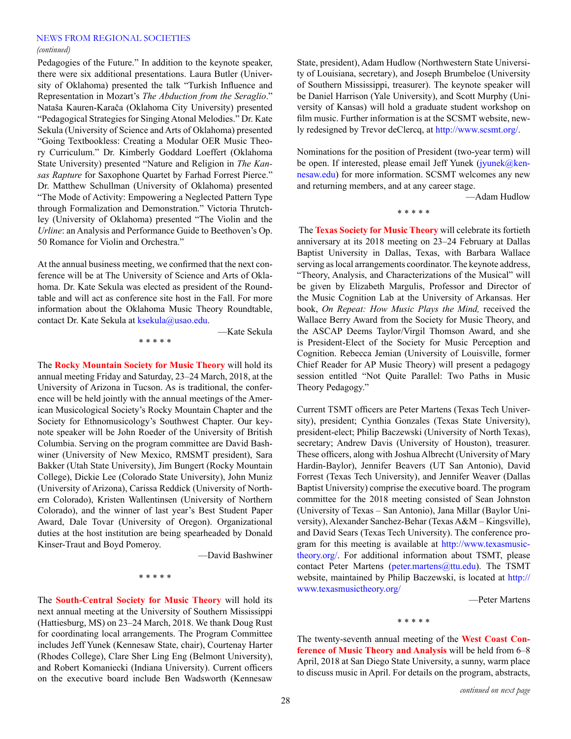# NEWS FROM REGIONAL SOCIETIES

#### *(continued)*

Pedagogies of the Future." In addition to the keynote speaker, there were six additional presentations. Laura Butler (University of Oklahoma) presented the talk "Turkish Influence and Representation in Mozart's *The Abduction from the Seraglio*." Nataša Kauren-Karača (Oklahoma City University) presented "Pedagogical Strategies for Singing Atonal Melodies." Dr. Kate Sekula (University of Science and Arts of Oklahoma) presented "Going Textbookless: Creating a Modular OER Music Theory Curriculum." Dr. Kimberly Goddard Loeffert (Oklahoma State University) presented "Nature and Religion in *The Kansas Rapture* for Saxophone Quartet by Farhad Forrest Pierce." Dr. Matthew Schullman (University of Oklahoma) presented "The Mode of Activity: Empowering a Neglected Pattern Type through Formalization and Demonstration." Victoria Thrutchley (University of Oklahoma) presented "The Violin and the *Urline*: an Analysis and Performance Guide to Beethoven's Op. 50 Romance for Violin and Orchestra."

At the annual business meeting, we confirmed that the next conference will be at The University of Science and Arts of Oklahoma. Dr. Kate Sekula was elected as president of the Roundtable and will act as conference site host in the Fall. For more information about the Oklahoma Music Theory Roundtable, contact Dr. Kate Sekula at [ksekula@usao.edu.](mailto:ksekula@usao.edu)

—Kate Sekula

\* \* \* \* \*

The **Rocky Mountain Society for Music Theory** will hold its annual meeting Friday and Saturday, 23–24 March, 2018, at the University of Arizona in Tucson. As is traditional, the conference will be held jointly with the annual meetings of the American Musicological Society's Rocky Mountain Chapter and the Society for Ethnomusicology's Southwest Chapter. Our keynote speaker will be John Roeder of the University of British Columbia. Serving on the program committee are David Bashwiner (University of New Mexico, RMSMT president), Sara Bakker (Utah State University), Jim Bungert (Rocky Mountain College), Dickie Lee (Colorado State University), John Muniz (University of Arizona), Carissa Reddick (University of Northern Colorado), Kristen Wallentinsen (University of Northern Colorado), and the winner of last year's Best Student Paper Award, Dale Tovar (University of Oregon). Organizational duties at the host institution are being spearheaded by Donald Kinser-Traut and Boyd Pomeroy.

—David Bashwiner

\* \* \* \* \*

The **South-Central Society for Music Theory** will hold its next annual meeting at the University of Southern Mississippi (Hattiesburg, MS) on 23–24 March, 2018. We thank Doug Rust for coordinating local arrangements. The Program Committee includes Jeff Yunek (Kennesaw State, chair), Courtenay Harter (Rhodes College), Clare Sher Ling Eng (Belmont University), and Robert Komaniecki (Indiana University). Current officers on the executive board include Ben Wadsworth (Kennesaw State, president), Adam Hudlow (Northwestern State University of Louisiana, secretary), and Joseph Brumbeloe (University of Southern Mississippi, treasurer). The keynote speaker will be Daniel Harrison (Yale University), and Scott Murphy (University of Kansas) will hold a graduate student workshop on film music. Further information is at the SCSMT website, newly redesigned by Trevor deClercq, at [http://www.scsmt.org/.](http://www.scsmt.org/)

Nominations for the position of President (two-year term) will be open. If interested, please email Jeff Yunek ([jyunek@ken](mailto:jyunek@kennesaw.edu)[nesaw.edu\)](mailto:jyunek@kennesaw.edu) for more information. SCSMT welcomes any new and returning members, and at any career stage.

—Adam Hudlow

\* \* \* \* \*

 The **Texas Society for Music Theory** will celebrate its fortieth anniversary at its 2018 meeting on 23–24 February at Dallas Baptist University in Dallas, Texas, with Barbara Wallace serving as local arrangements coordinator. The keynote address, "Theory, Analysis, and Characterizations of the Musical" will be given by Elizabeth Margulis, Professor and Director of the Music Cognition Lab at the University of Arkansas. Her book, *On Repeat: How Music Plays the Mind,* received the Wallace Berry Award from the Society for Music Theory, and the ASCAP Deems Taylor/Virgil Thomson Award, and she is President-Elect of the Society for Music Perception and Cognition. Rebecca Jemian (University of Louisville, former Chief Reader for AP Music Theory) will present a pedagogy session entitled "Not Quite Parallel: Two Paths in Music Theory Pedagogy."

Current TSMT officers are Peter Martens (Texas Tech University), president; Cynthia Gonzales (Texas State University), president-elect; Philip Baczewski (University of North Texas), secretary; Andrew Davis (University of Houston), treasurer. These officers, along with Joshua Albrecht (University of Mary Hardin-Baylor), Jennifer Beavers (UT San Antonio), David Forrest (Texas Tech University), and Jennifer Weaver (Dallas Baptist University) comprise the executive board. The program committee for the 2018 meeting consisted of Sean Johnston (University of Texas – San Antonio), Jana Millar (Baylor University), Alexander Sanchez-Behar (Texas A&M – Kingsville), and David Sears (Texas Tech University). The conference program for this meeting is available at [http://www.texasmusic](http://www.texasmusictheory.org/)[theory.org/.](http://www.texasmusictheory.org/) For additional information about TSMT, please contact Peter Martens [\(peter.martens@ttu.edu\)](mailto:peter.martens@ttu.edu). The TSMT website, maintained by Philip Baczewski, is located at [http://](http://www.texasmusictheory.org/) [www.texasmusictheory.org/](http://www.texasmusictheory.org/)

—Peter Martens

\* \* \* \* \*

The twenty-seventh annual meeting of the **West Coast Conference of Music Theory and Analysis** will be held from 6–8 April, 2018 at San Diego State University, a sunny, warm place to discuss music in April. For details on the program, abstracts,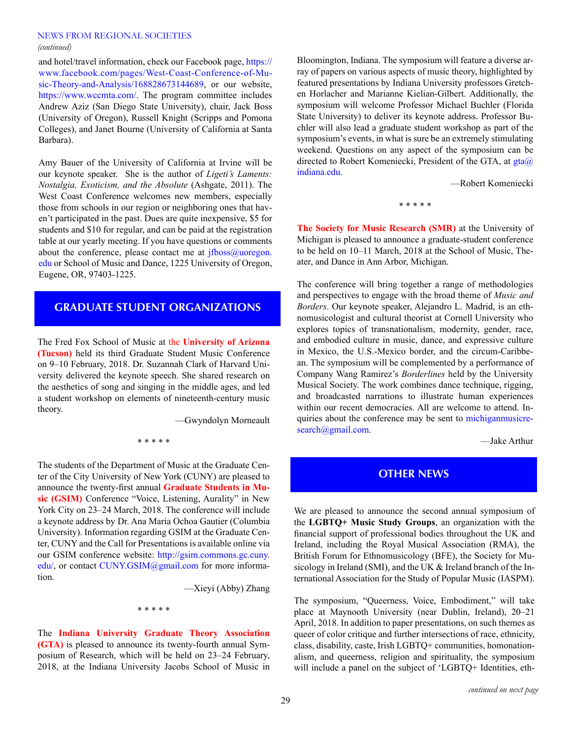#### NEWS FROM REGIONAL SOCIETIES *(continued)*

and hotel/travel information, check our Facebook page, [https://](https://www.facebook.com/pages/West-Coast-Conference-of-Music-Theory-and-Analysis/168828673144689) [www.facebook.com/pages/West-Coast-Conference-of-Mu](https://www.facebook.com/pages/West-Coast-Conference-of-Music-Theory-and-Analysis/168828673144689)[sic-Theory-and-Analysis/168828673144689,](https://www.facebook.com/pages/West-Coast-Conference-of-Music-Theory-and-Analysis/168828673144689) or our website, <https://www.wccmta.com/>. The program committee includes Andrew Aziz (San Diego State University), chair, Jack Boss (University of Oregon), Russell Knight (Scripps and Pomona Colleges), and Janet Bourne (University of California at Santa Barbara).

Amy Bauer of the University of California at Irvine will be our keynote speaker. She is the author of *Ligeti's Laments: Nostalgia, Exoticism, and the Absolute* (Ashgate, 2011). The West Coast Conference welcomes new members, especially those from schools in our region or neighboring ones that haven't participated in the past. Dues are quite inexpensive, \$5 for students and \$10 for regular, and can be paid at the registration table at our yearly meeting. If you have questions or comments about the conference, please contact me at  $if$ boss $@$ uoregon. [edu](mailto:jfboss@uoregon.edu) or School of Music and Dance, 1225 University of Oregon, Eugene, OR, 97403-1225.

# **GRADUATE STUDENT ORGANIZATIONS**

The Fred Fox School of Music at the **University of Arizona (Tucson)** held its third Graduate Student Music Conference on 9–10 February, 2018. Dr. Suzannah Clark of Harvard University delivered the keynote speech. She shared research on the aesthetics of song and singing in the middle ages, and led a student workshop on elements of nineteenth-century music theory.

—Gwyndolyn Morneault

#### \* \* \* \* \*

The students of the Department of Music at the Graduate Center of the City University of New York (CUNY) are pleased to announce the twenty-first annual **Graduate Students in Music (GSIM)** Conference "Voice, Listening, Aurality" in New York City on 23–24 March, 2018. The conference will include a keynote address by Dr. Ana Maria Ochoa Gautier (Columbia University). Information regarding GSIM at the Graduate Center, CUNY and the Call for Presentations is available online via our GSIM conference website: [http://gsim.commons.gc.cuny.](http://gsim.commons.gc.cuny.edu/) [edu/,](http://gsim.commons.gc.cuny.edu/) or contact [CUNY.GSIM@gmail.com](mailto:CUNY.GSIM@gmail.com) for more information.

—Xieyi (Abby) Zhang

\* \* \* \* \*

The **Indiana University Graduate Theory Association (GTA)** is pleased to announce its twenty-fourth annual Symposium of Research, which will be held on 23–24 February, 2018, at the Indiana University Jacobs School of Music in Bloomington, Indiana. The symposium will feature a diverse array of papers on various aspects of music theory, highlighted by featured presentations by Indiana University professors Gretchen Horlacher and Marianne Kielian-Gilbert. Additionally, the symposium will welcome Professor Michael Buchler (Florida State University) to deliver its keynote address. Professor Buchler will also lead a graduate student workshop as part of the symposium's events, in what is sure be an extremely stimulating weekend. Questions on any aspect of the symposium can be directed to Robert Komeniecki, President of the GTA, at  $gta@$ [indiana.edu.](mailto:gta@indiana.edu)

—Robert Komeniecki

\* \* \* \* \*

**The Society for Music Research (SMR)** at the University of Michigan is pleased to announce a graduate-student conference to be held on 10–11 March, 2018 at the School of Music, Theater, and Dance in Ann Arbor, Michigan.

The conference will bring together a range of methodologies and perspectives to engage with the broad theme of *Music and Borders*. Our keynote speaker, Alejandro L. Madrid, is an ethnomusicologist and cultural theorist at Cornell University who explores topics of transnationalism, modernity, gender, race, and embodied culture in music, dance, and expressive culture in Mexico, the U.S.-Mexico border, and the circum-Caribbean. The symposium will be complemented by a performance of Company Wang Ramirez's *Borderlines* held by the University Musical Society. The work combines dance technique, rigging, and broadcasted narrations to illustrate human experiences within our recent democracies. All are welcome to attend. Inquiries about the conference may be sent to [michiganmusicre](mailto:michiganmusicresearch@gmail.com)[search@gmail.com.](mailto:michiganmusicresearch@gmail.com)

—Jake Arthur

# **OTHER NEWS**

We are pleased to announce the second annual symposium of the **LGBTQ+ Music Study Groups**, an organization with the financial support of professional bodies throughout the UK and Ireland, including the Royal Musical Association (RMA), the British Forum for Ethnomusicology (BFE), the Society for Musicology in Ireland (SMI), and the UK & Ireland branch of the International Association for the Study of Popular Music (IASPM).

The symposium, "Queerness, Voice, Embodiment," will take place at Maynooth University (near Dublin, Ireland), 20–21 April, 2018. In addition to paper presentations, on such themes as queer of color critique and further intersections of race, ethnicity, class, disability, caste, Irish LGBTQ+ communities, homonationalism, and queerness, religion and spirituality, the symposium will include a panel on the subject of 'LGBTQ+ Identities, eth-